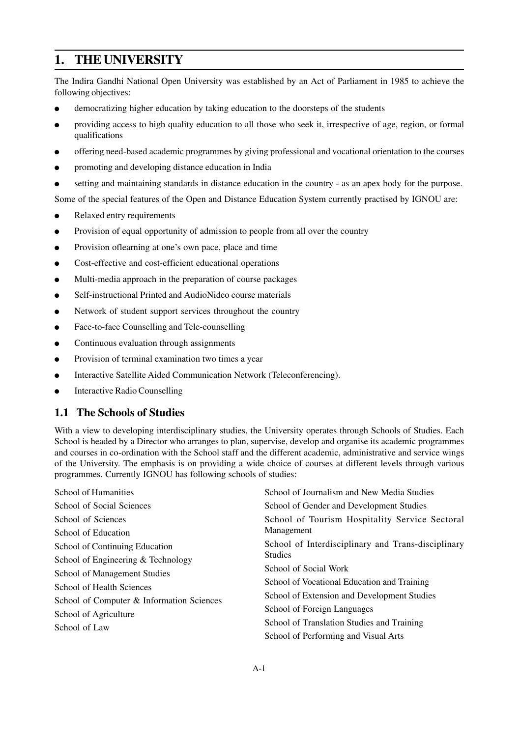# **1. THE UNIVERSITY**

The Indira Gandhi National Open University was established by an Act of Parliament in 1985 to achieve the following objectives:

- democratizing higher education by taking education to the doorsteps of the students
- providing access to high quality education to all those who seek it, irrespective of age, region, or formal qualifications
- offering need-based academic programmes by giving professional and vocational orientation to the courses
- promoting and developing distance education in India
- setting and maintaining standards in distance education in the country as an apex body for the purpose.

Some of the special features of the Open and Distance Education System currently practised by IGNOU are:

- Relaxed entry requirements
- Provision of equal opportunity of admission to people from all over the country
- Provision oflearning at one's own pace, place and time
- Cost-effective and cost-efficient educational operations
- Multi-media approach in the preparation of course packages
- Self-instructional Printed and AudioNideo course materials
- Network of student support services throughout the country
- Face-to-face Counselling and Tele-counselling
- Continuous evaluation through assignments
- Provision of terminal examination two times a year
- Interactive Satellite Aided Communication Network (Teleconferencing).
- **Interactive Radio Counselling**

## **1.1 The Schools of Studies**

With a view to developing interdisciplinary studies, the University operates through Schools of Studies. Each School is headed by a Director who arranges to plan, supervise, develop and organise its academic programmes and courses in co-ordination with the School staff and the different academic, administrative and service wings of the University. The emphasis is on providing a wide choice of courses at different levels through various programmes. Currently IGNOU has following schools of studies:

| <b>School of Humanities</b>               | School of Journalism and New Media Studies         |
|-------------------------------------------|----------------------------------------------------|
| School of Social Sciences                 | School of Gender and Development Studies           |
| School of Sciences                        | School of Tourism Hospitality Service Sectoral     |
| School of Education                       | Management                                         |
| School of Continuing Education            | School of Interdisciplinary and Trans-disciplinary |
| School of Engineering & Technology        | <b>Studies</b>                                     |
| School of Management Studies              | School of Social Work                              |
| School of Health Sciences                 | School of Vocational Education and Training        |
| School of Computer & Information Sciences | School of Extension and Development Studies        |
| School of Agriculture                     | School of Foreign Languages                        |
| School of Law                             | School of Translation Studies and Training         |
|                                           | School of Performing and Visual Arts               |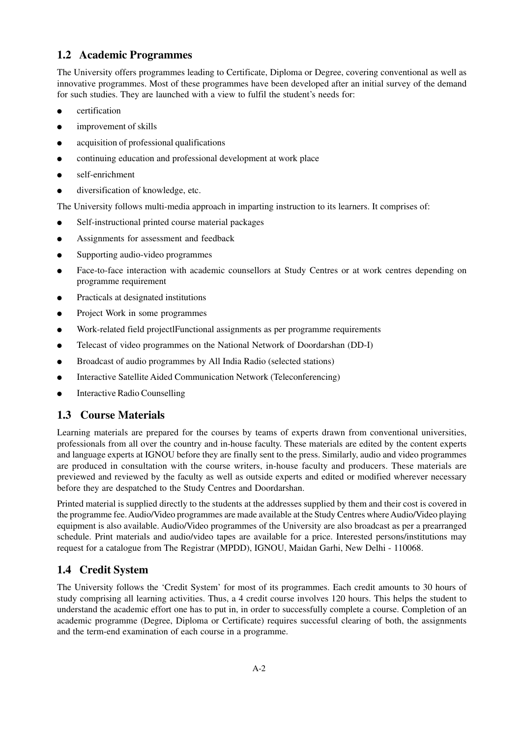# **1.2 Academic Programmes**

The University offers programmes leading to Certificate, Diploma or Degree, covering conventional as well as innovative programmes. Most of these programmes have been developed after an initial survey of the demand for such studies. They are launched with a view to fulfil the student's needs for:

- certification
- improvement of skills
- acquisition of professional qualifications
- continuing education and professional development at work place
- self-enrichment
- diversification of knowledge, etc.

The University follows multi-media approach in imparting instruction to its learners. It comprises of:

- Self-instructional printed course material packages
- Assignments for assessment and feedback
- Supporting audio-video programmes
- Face-to-face interaction with academic counsellors at Study Centres or at work centres depending on programme requirement
- Practicals at designated institutions
- Project Work in some programmes
- Work-related field projectlFunctional assignments as per programme requirements
- Telecast of video programmes on the National Network of Doordarshan (DD-I)
- Broadcast of audio programmes by All India Radio (selected stations)
- Interactive Satellite Aided Communication Network (Teleconferencing)
- **Interactive Radio Counselling**

# **1.3 Course Materials**

Learning materials are prepared for the courses by teams of experts drawn from conventional universities, professionals from all over the country and in-house faculty. These materials are edited by the content experts and language experts at IGNOU before they are finally sent to the press. Similarly, audio and video programmes are produced in consultation with the course writers, in-house faculty and producers. These materials are previewed and reviewed by the faculty as well as outside experts and edited or modified wherever necessary before they are despatched to the Study Centres and Doordarshan.

Printed material is supplied directly to the students at the addresses supplied by them and their cost is covered in the programme fee. Audio/Video programmes are made available at the Study Centres where Audio/Video playing equipment is also available. Audio/Video programmes of the University are also broadcast as per a prearranged schedule. Print materials and audio/video tapes are available for a price. Interested persons/institutions may request for a catalogue from The Registrar (MPDD), IGNOU, Maidan Garhi, New Delhi - 110068.

# **1.4 Credit System**

The University follows the 'Credit System' for most of its programmes. Each credit amounts to 30 hours of study comprising all learning activities. Thus, a 4 credit course involves 120 hours. This helps the student to understand the academic effort one has to put in, in order to successfully complete a course. Completion of an academic programme (Degree, Diploma or Certificate) requires successful clearing of both, the assignments and the term-end examination of each course in a programme.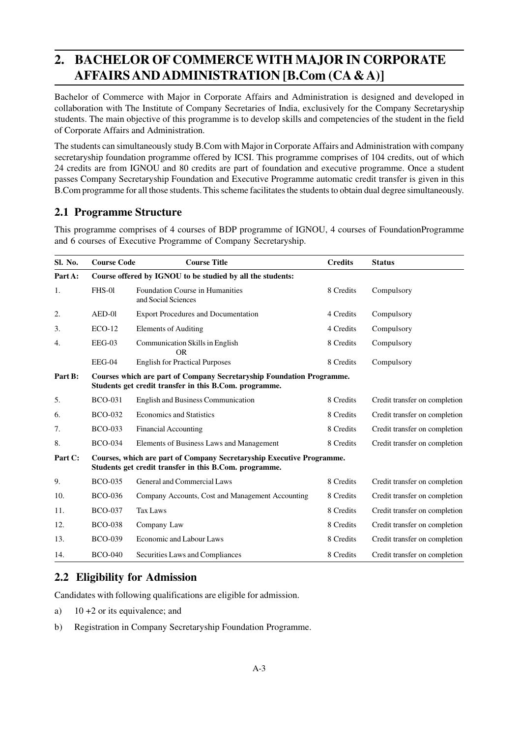# **2. BACHELOR OF COMMERCE WITH MAJOR IN CORPORATE AFFAIRS AND ADMINISTRATION [B.Com (CA & A)]**

Bachelor of Commerce with Major in Corporate Affairs and Administration is designed and developed in collaboration with The Institute of Company Secretaries of India, exclusively for the Company Secretaryship students. The main objective of this programme is to develop skills and competencies of the student in the field of Corporate Affairs and Administration.

The students can simultaneously study B.Com with Major in Corporate Affairs and Administration with company secretaryship foundation programme offered by ICSI. This programme comprises of 104 credits, out of which 24 credits are from IGNOU and 80 credits are part of foundation and executive programme. Once a student passes Company Secretaryship Foundation and Executive Programme automatic credit transfer is given in this B.Com programme for all those students. This scheme facilitates the students to obtain dual degree simultaneously.

# **2.1 Programme Structure**

This programme comprises of 4 courses of BDP programme of IGNOU, 4 courses of FoundationProgramme and 6 courses of Executive Programme of Company Secretaryship.

| Sl. No.          | <b>Course Code</b>                                                                                                              | <b>Course Title</b>                                           | <b>Credits</b> | <b>Status</b>                 |
|------------------|---------------------------------------------------------------------------------------------------------------------------------|---------------------------------------------------------------|----------------|-------------------------------|
| Part A:          |                                                                                                                                 | Course offered by IGNOU to be studied by all the students:    |                |                               |
| 1.               | <b>FHS-01</b>                                                                                                                   | <b>Foundation Course in Humanities</b><br>and Social Sciences | 8 Credits      | Compulsory                    |
| 2.               | $AED-01$                                                                                                                        | <b>Export Procedures and Documentation</b>                    | 4 Credits      | Compulsory                    |
| 3.               | $ECO-12$                                                                                                                        | <b>Elements of Auditing</b>                                   | 4 Credits      | Compulsory                    |
| $\overline{4}$ . | $EEG-03$                                                                                                                        | Communication Skills in English<br><b>OR</b>                  | 8 Credits      | Compulsory                    |
|                  | EEG-04                                                                                                                          | <b>English for Practical Purposes</b>                         | 8 Credits      | Compulsory                    |
| Part B:          | Courses which are part of Company Secretaryship Foundation Programme.<br>Students get credit transfer in this B.Com. programme. |                                                               |                |                               |
| 5.               | <b>BCO-031</b>                                                                                                                  | <b>English and Business Communication</b>                     | 8 Credits      | Credit transfer on completion |
| 6.               | <b>BCO-032</b>                                                                                                                  | <b>Economics and Statistics</b>                               | 8 Credits      | Credit transfer on completion |
| 7.               | <b>BCO-033</b>                                                                                                                  | <b>Financial Accounting</b>                                   | 8 Credits      | Credit transfer on completion |
| 8.               | <b>BCO-034</b>                                                                                                                  | Elements of Business Laws and Management                      | 8 Credits      | Credit transfer on completion |
| Part C:          | Courses, which are part of Company Secretaryship Executive Programme.<br>Students get credit transfer in this B.Com. programme. |                                                               |                |                               |
| 9.               | <b>BCO-035</b>                                                                                                                  | General and Commercial Laws                                   | 8 Credits      | Credit transfer on completion |
| 10.              | <b>BCO-036</b>                                                                                                                  | Company Accounts, Cost and Management Accounting              | 8 Credits      | Credit transfer on completion |
| 11.              | <b>BCO-037</b>                                                                                                                  | <b>Tax Laws</b>                                               | 8 Credits      | Credit transfer on completion |
| 12.              | <b>BCO-038</b>                                                                                                                  | Company Law                                                   | 8 Credits      | Credit transfer on completion |
| 13.              | <b>BCO-039</b>                                                                                                                  | <b>Economic and Labour Laws</b>                               | 8 Credits      | Credit transfer on completion |
| 14.              | <b>BCO-040</b>                                                                                                                  | Securities Laws and Compliances                               | 8 Credits      | Credit transfer on completion |

# **2.2 Eligibility for Admission**

Candidates with following qualifications are eligible for admission.

- a) 10 +2 or its equivalence; and
- b) Registration in Company Secretaryship Foundation Programme.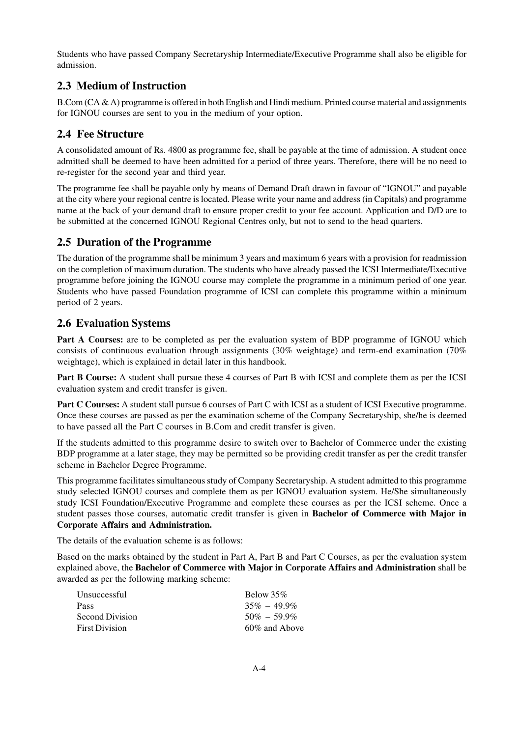Students who have passed Company Secretaryship Intermediate/Executive Programme shall also be eligible for admission.

# **2.3 Medium of Instruction**

B.Com (CA & A) programme is offered in both English and Hindi medium. Printed course material and assignments for IGNOU courses are sent to you in the medium of your option.

# **2.4 Fee Structure**

A consolidated amount of Rs. 4800 as programme fee, shall be payable at the time of admission. A student once admitted shall be deemed to have been admitted for a period of three years. Therefore, there will be no need to re-register for the second year and third year.

The programme fee shall be payable only by means of Demand Draft drawn in favour of "IGNOU" and payable at the city where your regional centre is located. Please write your name and address (in Capitals) and programme name at the back of your demand draft to ensure proper credit to your fee account. Application and D/D are to be submitted at the concerned IGNOU Regional Centres only, but not to send to the head quarters.

# **2.5 Duration of the Programme**

The duration of the programme shall be minimum 3 years and maximum 6 years with a provision for readmission on the completion of maximum duration. The students who have already passed the ICSI Intermediate/Executive programme before joining the IGNOU course may complete the programme in a minimum period of one year. Students who have passed Foundation programme of ICSI can complete this programme within a minimum period of 2 years.

# **2.6 Evaluation Systems**

Part A Courses: are to be completed as per the evaluation system of BDP programme of IGNOU which consists of continuous evaluation through assignments (30% weightage) and term-end examination (70% weightage), which is explained in detail later in this handbook.

**Part B Course:** A student shall pursue these 4 courses of Part B with ICSI and complete them as per the ICSI evaluation system and credit transfer is given.

**Part C Courses:** A student stall pursue 6 courses of Part C with ICSI as a student of ICSI Executive programme. Once these courses are passed as per the examination scheme of the Company Secretaryship, she/he is deemed to have passed all the Part C courses in B.Com and credit transfer is given.

If the students admitted to this programme desire to switch over to Bachelor of Commerce under the existing BDP programme at a later stage, they may be permitted so be providing credit transfer as per the credit transfer scheme in Bachelor Degree Programme.

This programme facilitates simultaneous study of Company Secretaryship. A student admitted to this programme study selected IGNOU courses and complete them as per IGNOU evaluation system. He/She simultaneously study ICSI Foundation/Executive Programme and complete these courses as per the ICSI scheme. Once a student passes those courses, automatic credit transfer is given in **Bachelor of Commerce with Major in Corporate Affairs and Administration.**

The details of the evaluation scheme is as follows:

Based on the marks obtained by the student in Part A, Part B and Part C Courses, as per the evaluation system explained above, the **Bachelor of Commerce with Major in Corporate Affairs and Administration** shall be awarded as per the following marking scheme:

| Unsuccessful          | Below $35\%$    |
|-----------------------|-----------------|
| Pass                  | $35\% - 49.9\%$ |
| Second Division       | $50\% - 59.9\%$ |
| <b>First Division</b> | 60% and Above   |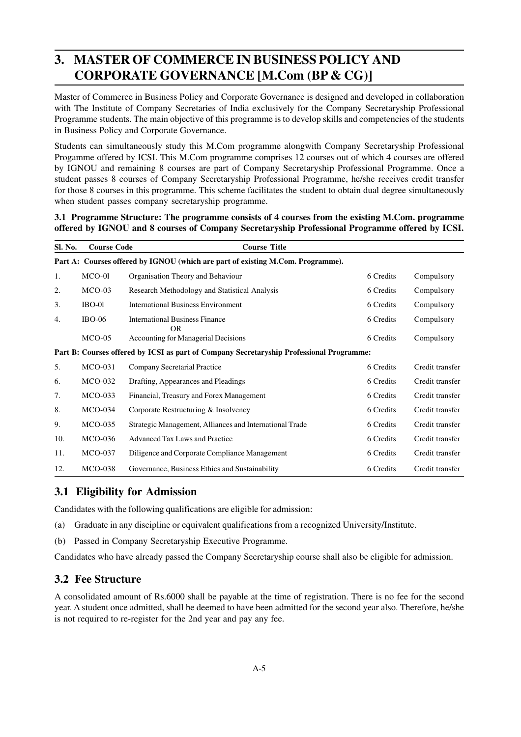# **3. MASTER OF COMMERCE IN BUSINESS POLICY AND CORPORATE GOVERNANCE [M.Com (BP & CG)]**

Master of Commerce in Business Policy and Corporate Governance is designed and developed in collaboration with The Institute of Company Secretaries of India exclusively for the Company Secretaryship Professional Programme students. The main objective of this programme is to develop skills and competencies of the students in Business Policy and Corporate Governance.

Students can simultaneously study this M.Com programme alongwith Company Secretaryship Professional Progamme offered by ICSI. This M.Com programme comprises 12 courses out of which 4 courses are offered by IGNOU and remaining 8 courses are part of Company Secretaryship Professional Programme. Once a student passes 8 courses of Company Secretaryship Professional Programme, he/she receives credit transfer for those 8 courses in this programme. This scheme facilitates the student to obtain dual degree simultaneously when student passes company secretaryship programme.

#### **3.1 Programme Structure: The programme consists of 4 courses from the existing M.Com. programme offered by IGNOU and 8 courses of Company Secretaryship Professional Programme offered by ICSI.**

| Sl. No. | <b>Course Code</b>                                                              | <b>Course Title</b>                                                                      |           |                 |
|---------|---------------------------------------------------------------------------------|------------------------------------------------------------------------------------------|-----------|-----------------|
|         | Part A: Courses offered by IGNOU (which are part of existing M.Com. Programme). |                                                                                          |           |                 |
| 1.      | MCO-01                                                                          | Organisation Theory and Behaviour                                                        | 6 Credits | Compulsory      |
| 2.      | $MCO-03$                                                                        | Research Methodology and Statistical Analysis                                            | 6 Credits | Compulsory      |
| 3.      | IBO-01                                                                          | <b>International Business Environment</b>                                                | 6 Credits | Compulsory      |
| 4.      | <b>IBO-06</b>                                                                   | <b>International Business Finance</b><br><b>OR</b>                                       | 6 Credits | Compulsory      |
|         | $MCO-05$                                                                        | <b>Accounting for Managerial Decisions</b>                                               | 6 Credits | Compulsory      |
|         |                                                                                 | Part B: Courses offered by ICSI as part of Company Secretaryship Professional Programme: |           |                 |
| 5.      | $MCO-031$                                                                       | Company Secretarial Practice                                                             | 6 Credits | Credit transfer |
| 6.      | $MCO-032$                                                                       | Drafting, Appearances and Pleadings                                                      | 6 Credits | Credit transfer |
| 7.      | $MCO-033$                                                                       | Financial, Treasury and Forex Management                                                 | 6 Credits | Credit transfer |
| 8.      | $MCO-034$                                                                       | Corporate Restructuring & Insolvency                                                     | 6 Credits | Credit transfer |
| 9.      | $MCO-035$                                                                       | Strategic Management, Alliances and International Trade                                  | 6 Credits | Credit transfer |
| 10.     | $MCO-036$                                                                       | <b>Advanced Tax Laws and Practice</b>                                                    | 6 Credits | Credit transfer |
| 11.     | <b>MCO-037</b>                                                                  | Diligence and Corporate Compliance Management                                            | 6 Credits | Credit transfer |
| 12.     | <b>MCO-038</b>                                                                  | Governance, Business Ethics and Sustainability                                           | 6 Credits | Credit transfer |

# **3.1 Eligibility for Admission**

Candidates with the following qualifications are eligible for admission:

- (a) Graduate in any discipline or equivalent qualifications from a recognized University/Institute.
- (b) Passed in Company Secretaryship Executive Programme.

Candidates who have already passed the Company Secretaryship course shall also be eligible for admission.

# **3.2 Fee Structure**

A consolidated amount of Rs.6000 shall be payable at the time of registration. There is no fee for the second year. A student once admitted, shall be deemed to have been admitted for the second year also. Therefore, he/she is not required to re-register for the 2nd year and pay any fee.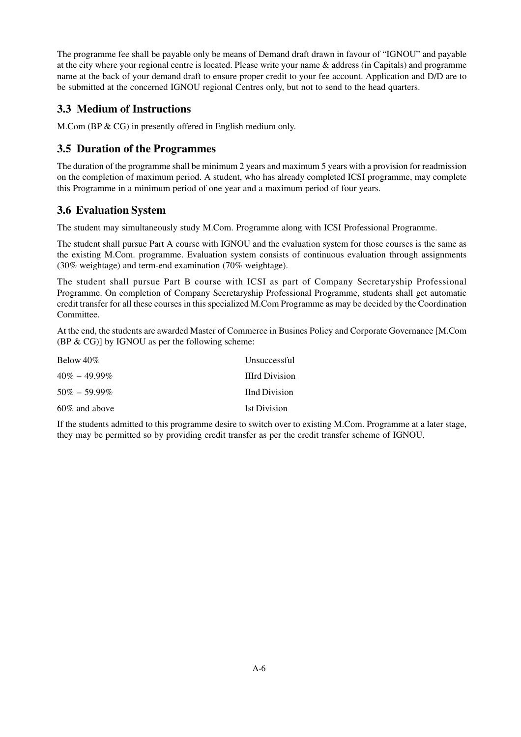The programme fee shall be payable only be means of Demand draft drawn in favour of "IGNOU" and payable at the city where your regional centre is located. Please write your name & address (in Capitals) and programme name at the back of your demand draft to ensure proper credit to your fee account. Application and D/D are to be submitted at the concerned IGNOU regional Centres only, but not to send to the head quarters.

# **3.3 Medium of Instructions**

M.Com (BP & CG) in presently offered in English medium only.

# **3.5 Duration of the Programmes**

The duration of the programme shall be minimum 2 years and maximum 5 years with a provision for readmission on the completion of maximum period. A student, who has already completed ICSI programme, may complete this Programme in a minimum period of one year and a maximum period of four years.

# **3.6 Evaluation System**

The student may simultaneously study M.Com. Programme along with ICSI Professional Programme.

The student shall pursue Part A course with IGNOU and the evaluation system for those courses is the same as the existing M.Com. programme. Evaluation system consists of continuous evaluation through assignments (30% weightage) and term-end examination (70% weightage).

The student shall pursue Part B course with ICSI as part of Company Secretaryship Professional Programme. On completion of Company Secretaryship Professional Programme, students shall get automatic credit transfer for all these courses in this specialized M.Com Programme as may be decided by the Coordination Committee.

At the end, the students are awarded Master of Commerce in Busines Policy and Corporate Governance [M.Com  $(BP & CG)$ ] by IGNOU as per the following scheme:

| Below $40\%$     | Unsuccessful          |
|------------------|-----------------------|
| $40\% - 49.99\%$ | <b>IIIrd Division</b> |
| $50\% - 59.99\%$ | <b>I</b> Ind Division |
| $60\%$ and above | <b>Ist Division</b>   |

If the students admitted to this programme desire to switch over to existing M.Com. Programme at a later stage, they may be permitted so by providing credit transfer as per the credit transfer scheme of IGNOU.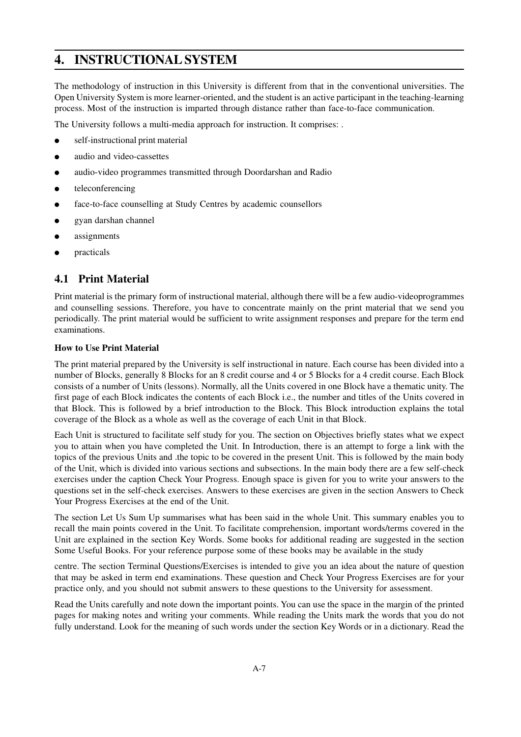# **4. INSTRUCTIONAL SYSTEM**

The methodology of instruction in this University is different from that in the conventional universities. The Open University System is more learner-oriented, and the student is an active participant in the teaching-learning process. Most of the instruction is imparted through distance rather than face-to-face communication.

The University follows a multi-media approach for instruction. It comprises: .

- self-instructional print material
- audio and video-cassettes
- audio-video programmes transmitted through Doordarshan and Radio
- teleconferencing
- face-to-face counselling at Study Centres by academic counsellors
- gyan darshan channel
- assignments
- practicals

# **4.1 Print Material**

Print material is the primary form of instructional material, although there will be a few audio-videoprogrammes and counselling sessions. Therefore, you have to concentrate mainly on the print material that we send you periodically. The print material would be sufficient to write assignment responses and prepare for the term end examinations.

#### **How to Use Print Material**

The print material prepared by the University is self instructional in nature. Each course has been divided into a number of Blocks, generally 8 Blocks for an 8 credit course and 4 or 5 Blocks for a 4 credit course. Each Block consists of a number of Units (lessons). Normally, all the Units covered in one Block have a thematic unity. The first page of each Block indicates the contents of each Block i.e., the number and titles of the Units covered in that Block. This is followed by a brief introduction to the Block. This Block introduction explains the total coverage of the Block as a whole as well as the coverage of each Unit in that Block.

Each Unit is structured to facilitate self study for you. The section on Objectives briefly states what we expect you to attain when you have completed the Unit. In Introduction, there is an attempt to forge a link with the topics of the previous Units and .the topic to be covered in the present Unit. This is followed by the main body of the Unit, which is divided into various sections and subsections. In the main body there are a few self-check exercises under the caption Check Your Progress. Enough space is given for you to write your answers to the questions set in the self-check exercises. Answers to these exercises are given in the section Answers to Check Your Progress Exercises at the end of the Unit.

The section Let Us Sum Up summarises what has been said in the whole Unit. This summary enables you to recall the main points covered in the Unit. To facilitate comprehension, important words/terms covered in the Unit are explained in the section Key Words. Some books for additional reading are suggested in the section Some Useful Books. For your reference purpose some of these books may be available in the study

centre. The section Terminal Questions/Exercises is intended to give you an idea about the nature of question that may be asked in term end examinations. These question and Check Your Progress Exercises are for your practice only, and you should not submit answers to these questions to the University for assessment.

Read the Units carefully and note down the important points. You can use the space in the margin of the printed pages for making notes and writing your comments. While reading the Units mark the words that you do not fully understand. Look for the meaning of such words under the section Key Words or in a dictionary. Read the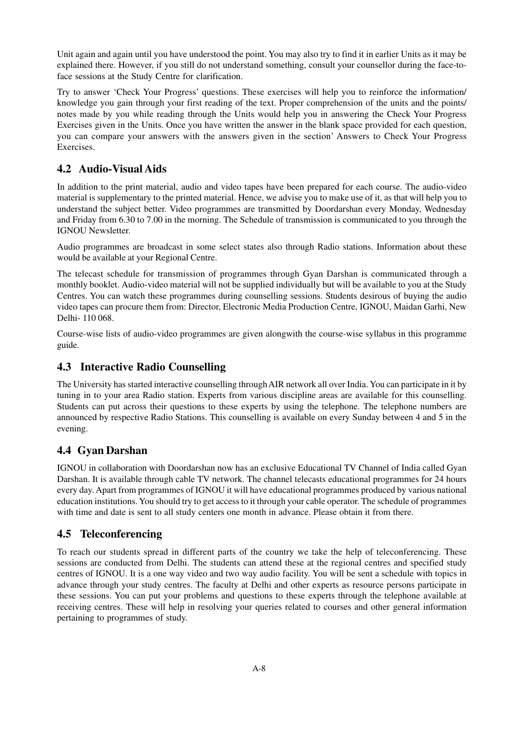Unit again and again until you have understood the point. You may also try to find it in earlier Units as it may be explained there. However, if you still do not understand something, consult your counsellor during the face-toface sessions at the Study Centre for clarification.

Try to answer 'Check Your Progress' questions. These exercises will help you to reinforce the information/ knowledge you gain through your first reading of the text. Proper comprehension of the units and the points/ notes made by you while reading through the Units would help you in answering the Check Your Progress Exercises given in the Units. Once you have written the answer in the blank space provided for each question, you can compare your answers with the answers given in the section' Answers to Check Your Progress Exercises.

# **4.2 Audio-Visual Aids**

In addition to the print material, audio and video tapes have been prepared for each course. The audio-video material is supplementary to the printed material. Hence, we advise you to make use of it, as that will help you to understand the subject better. Video programmes are transmitted by Doordarshan every Monday, Wednesday and Friday from 6.30 to 7.00 in the morning. The Schedule of transmission is communicated to you through the IGNOU Newsletter.

Audio programmes are broadcast in some select states also through Radio stations. Information about these would be available at your Regional Centre.

The telecast schedule for transmission of programmes through Gyan Darshan is communicated through a monthly booklet. Audio-video material will not be supplied individually but will be available to you at the Study Centres. You can watch these programmes during counselling sessions. Students desirous of buying the audio video tapes can procure them from: Director, Electronic Media Production Centre, IGNOU, Maidan Garhi, New Delhi- 110 068.

Course-wise lists of audio-video programmes are given alongwith the course-wise syllabus in this programme guide.

# **4.3 Interactive Radio Counselling**

The University has started interactive counselling through AIR network all over India. You can participate in it by tuning in to your area Radio station. Experts from various discipline areas are available for this counselling. Students can put across their questions to these experts by using the telephone. The telephone numbers are announced by respective Radio Stations. This counselling is available on every Sunday between 4 and 5 in the evening.

# **4.4 Gyan Darshan**

IGNOU in collaboration with Doordarshan now has an exclusive Educational TV Channel of India called Gyan Darshan. It is available through cable TV network. The channel telecasts educational programmes for 24 hours every day. Apart from programmes of IGNOU it will have educational programmes produced by various national education institutions. You should try to get access to it through your cable operator. The schedule of programmes with time and date is sent to all study centers one month in advance. Please obtain it from there.

# **4.5 Teleconferencing**

To reach our students spread in different parts of the country we take the help of teleconferencing. These sessions are conducted from Delhi. The students can attend these at the regional centres and specified study centres of IGNOU. It is a one way video and two way audio facility. You will be sent a schedule with topics in advance through your study centres. The faculty at Delhi and other experts as resource persons participate in these sessions. You can put your problems and questions to these experts through the telephone available at receiving centres. These will help in resolving your queries related to courses and other general information pertaining to programmes of study.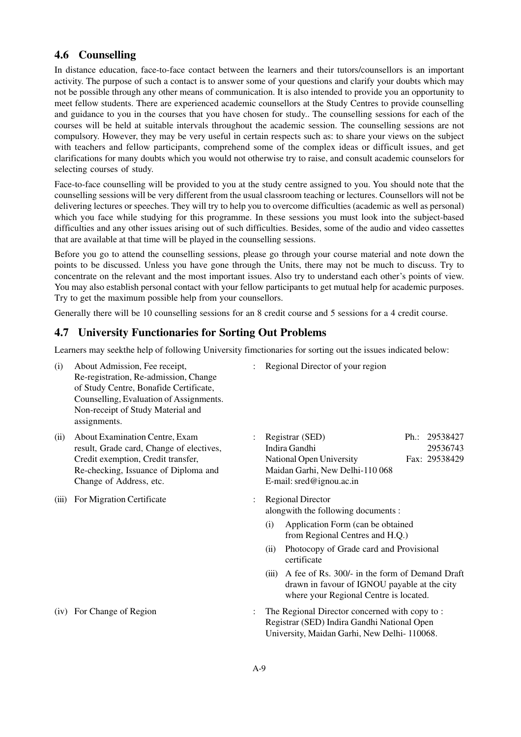# **4.6 Counselling**

In distance education, face-to-face contact between the learners and their tutors/counsellors is an important activity. The purpose of such a contact is to answer some of your questions and clarify your doubts which may not be possible through any other means of communication. It is also intended to provide you an opportunity to meet fellow students. There are experienced academic counsellors at the Study Centres to provide counselling and guidance to you in the courses that you have chosen for study.. The counselling sessions for each of the courses will be held at suitable intervals throughout the academic session. The counselling sessions are not compulsory. However, they may be very useful in certain respects such as: to share your views on the subject with teachers and fellow participants, comprehend some of the complex ideas or difficult issues, and get clarifications for many doubts which you would not otherwise try to raise, and consult academic counselors for selecting courses of study.

Face-to-face counselling will be provided to you at the study centre assigned to you. You should note that the counselling sessions will be very different from the usual classroom teaching or lectures. Counsellors will not be delivering lectures or speeches. They will try to help you to overcome difficulties (academic as well as personal) which you face while studying for this programme. In these sessions you must look into the subject-based difficulties and any other issues arising out of such difficulties. Besides, some of the audio and video cassettes that are available at that time will be played in the counselling sessions.

Before you go to attend the counselling sessions, please go through your course material and note down the points to be discussed. Unless you have gone through the Units, there may not be much to discuss. Try to concentrate on the relevant and the most important issues. Also try to understand each other's points of view. You may also establish personal contact with your fellow participants to get mutual help for academic purposes. Try to get the maximum possible help from your counsellors.

Generally there will be 10 counselling sessions for an 8 credit course and 5 sessions for a 4 credit course.

# **4.7 University Functionaries for Sorting Out Problems**

Learners may seekthe help of following University fimctionaries for sorting out the issues indicated below:

- (i) About Admission, Fee receipt, : Regional Director of your region Re-registration, Re-admission, Change of Study Centre, Bonafide Certificate, Counselling, Evaluation of Assignments. Non-receipt of Study Material and assignments.
- result, Grade card, Change of electives, Indira Gandhi Re-checking, Issuance of Diploma and Maidan Garhi, New Delhi-110 068 Change of Address, etc. E-mail: sred@ignou.ac.in
- (iii) For Migration Certificate : Regional Director

- 
- (ii) About Examination Centre, Exam : Registrar (SED) Ph.: 29538427<br>result. Grade card. Change of electives. Indira Gandhi 29536743 Credit exemption, Credit transfer, National Open University Fax: 29538429
	- alongwith the following documents :
		- (i) Application Form (can be obtained from Regional Centres and H.Q.)
		- (ii) Photocopy of Grade card and Provisional certificate
		- (iii) A fee of Rs. 300/- in the form of Demand Draft drawn in favour of IGNOU payable at the city where your Regional Centre is located.
- (iv) For Change of Region : The Regional Director concerned with copy to : Registrar (SED) Indira Gandhi National Open University, Maidan Garhi, New Delhi- 110068.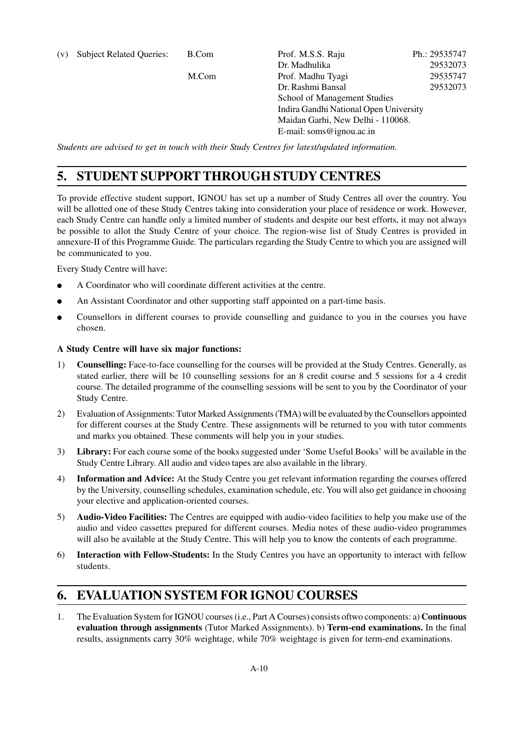| (v) | <b>Subject Related Queries:</b> | B.Com | Prof. M.S.S. Raju                      | Ph.: 29535747 |
|-----|---------------------------------|-------|----------------------------------------|---------------|
|     |                                 |       | Dr. Madhulika                          | 29532073      |
|     |                                 | M.Com | Prof. Madhu Tyagi                      | 29535747      |
|     |                                 |       | Dr. Rashmi Bansal                      | 29532073      |
|     |                                 |       | School of Management Studies           |               |
|     |                                 |       | Indira Gandhi National Open University |               |
|     |                                 |       | Maidan Garhi, New Delhi - 110068.      |               |
|     |                                 |       | E-mail: soms@ignou.ac.in               |               |
|     |                                 |       |                                        |               |

*Students are advised to get in touch with their Study Centres for latest/updated information.*

# **5. STUDENT SUPPORT THROUGH STUDY CENTRES**

To provide effective student support, IGNOU has set up a number of Study Centres all over the country. You will be allotted one of these Study Centres taking into consideration your place of residence or work. However, each Study Centre can handle only a limited number of students and despite our best efforts, it may not always be possible to allot the Study Centre of your choice. The region-wise list of Study Centres is provided in annexure-II of this Programme Guide. The particulars regarding the Study Centre to which you are assigned will be communicated to you.

Every Study Centre will have:

- A Coordinator who will coordinate different activities at the centre.
- An Assistant Coordinator and other supporting staff appointed on a part-time basis.
- Counsellors in different courses to provide counselling and guidance to you in the courses you have chosen.

#### **A Study Centre will have six major functions:**

- 1) **Counselling:** Face-to-face counselling for the courses will be provided at the Study Centres. Generally, as stated earlier, there will be 10 counselling sessions for an 8 credit course and 5 sessions for a 4 credit course. The detailed programme of the counselling sessions will be sent to you by the Coordinator of your Study Centre.
- 2) Evaluation of Assignments: Tutor Marked Assignments (TMA) will be evaluated by the Counsellors appointed for different courses at the Study Centre. These assignments will be returned to you with tutor comments and marks you obtained. These comments will help you in your studies.
- 3) **Library:** For each course some of the books suggested under 'Some Useful Books' will be available in the Study Centre Library. All audio and video tapes are also available in the library.
- 4) **Information and Advice:** At the Study Centre you get relevant information regarding the courses offered by the University, counselling schedules, examination schedule, etc. You will also get guidance in choosing your elective and application-oriented courses.
- 5) **Audio-Video Facilities:** The Centres are equipped with audio-video facilities to help you make use of the audio and video cassettes prepared for different courses. Media notes of these audio-video programmes will also be available at the Study Centre. This will help you to know the contents of each programme.
- 6) **Interaction with Fellow-Students:** In the Study Centres you have an opportunity to interact with fellow students.

# **6. EVALUATION SYSTEM FOR IGNOU COURSES**

1. The Evaluation System for IGNOU courses (i.e., Part A Courses) consists oftwo components: a) **Continuous evaluation through assignments** (Tutor Marked Assignments). b) **Term-end examinations.** In the final results, assignments carry 30% weightage, while 70% weightage is given for term-end examinations.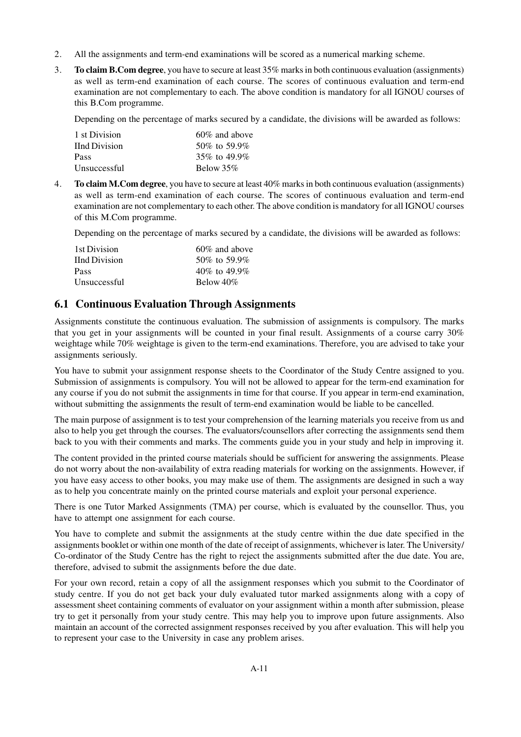- 2. All the assignments and term-end examinations will be scored as a numerical marking scheme.
- 3. **To claim B.Com degree**, you have to secure at least 35% marks in both continuous evaluation (assignments) as well as term-end examination of each course. The scores of continuous evaluation and term-end examination are not complementary to each. The above condition is mandatory for all IGNOU courses of this B.Com programme.

Depending on the percentage of marks secured by a candidate, the divisions will be awarded as follows:

| 1 st Division        | $60\%$ and above |
|----------------------|------------------|
| <b>IInd Division</b> | 50\% to 59.9\%   |
| Pass                 | 35\% to 49.9\%   |
| Unsuccessful         | Below $35\%$     |

4. **To claim M.Com degree**, you have to secure at least 40% marks in both continuous evaluation (assignments) as well as term-end examination of each course. The scores of continuous evaluation and term-end examination are not complementary to each other. The above condition is mandatory for all IGNOU courses of this M.Com programme.

Depending on the percentage of marks secured by a candidate, the divisions will be awarded as follows:

| 1st Division  | $60\%$ and above   |
|---------------|--------------------|
| IInd Division | 50\% to 59.9\%     |
| Pass          | $40\%$ to $49.9\%$ |
| Unsuccessful  | Below $40\%$       |

# **6.1 Continuous Evaluation Through Assignments**

Assignments constitute the continuous evaluation. The submission of assignments is compulsory. The marks that you get in your assignments will be counted in your final result. Assignments of a course carry 30% weightage while 70% weightage is given to the term-end examinations. Therefore, you are advised to take your assignments seriously.

You have to submit your assignment response sheets to the Coordinator of the Study Centre assigned to you. Submission of assignments is compulsory. You will not be allowed to appear for the term-end examination for any course if you do not submit the assignments in time for that course. If you appear in term-end examination, without submitting the assignments the result of term-end examination would be liable to be cancelled.

The main purpose of assignment is to test your comprehension of the learning materials you receive from us and also to help you get through the courses. The evaluators/counsellors after correcting the assignments send them back to you with their comments and marks. The comments guide you in your study and help in improving it.

The content provided in the printed course materials should be sufficient for answering the assignments. Please do not worry about the non-availability of extra reading materials for working on the assignments. However, if you have easy access to other books, you may make use of them. The assignments are designed in such a way as to help you concentrate mainly on the printed course materials and exploit your personal experience.

There is one Tutor Marked Assignments (TMA) per course, which is evaluated by the counsellor. Thus, you have to attempt one assignment for each course.

You have to complete and submit the assignments at the study centre within the due date specified in the assignments booklet or within one month of the date of receipt of assignments, whichever is later. The University/ Co-ordinator of the Study Centre has the right to reject the assignments submitted after the due date. You are, therefore, advised to submit the assignments before the due date.

For your own record, retain a copy of all the assignment responses which you submit to the Coordinator of study centre. If you do not get back your duly evaluated tutor marked assignments along with a copy of assessment sheet containing comments of evaluator on your assignment within a month after submission, please try to get it personally from your study centre. This may help you to improve upon future assignments. Also maintain an account of the corrected assignment responses received by you after evaluation. This will help you to represent your case to the University in case any problem arises.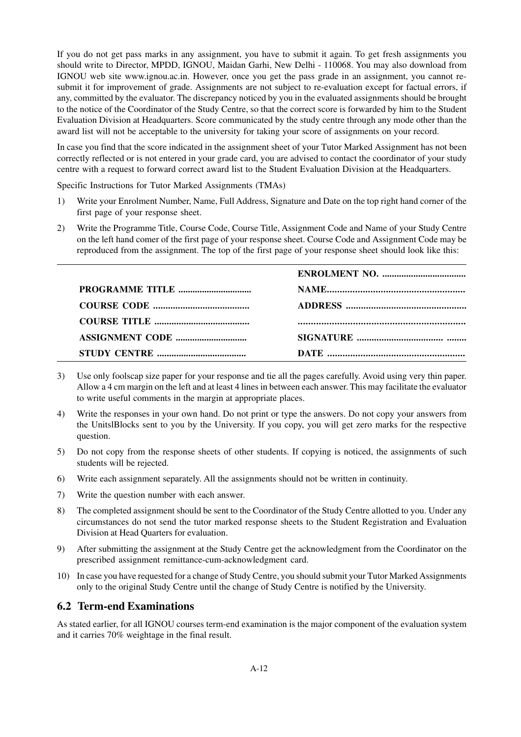If you do not get pass marks in any assignment, you have to submit it again. To get fresh assignments you should write to Director, MPDD, IGNOU, Maidan Garhi, New Delhi - 110068. You may also download from IGNOU web site www.ignou.ac.in. However, once you get the pass grade in an assignment, you cannot resubmit it for improvement of grade. Assignments are not subject to re-evaluation except for factual errors, if any, committed by the evaluator. The discrepancy noticed by you in the evaluated assignments should be brought to the notice of the Coordinator of the Study Centre, so that the correct score is forwarded by him to the Student Evaluation Division at Headquarters. Score communicated by the study centre through any mode other than the award list will not be acceptable to the university for taking your score of assignments on your record.

In case you find that the score indicated in the assignment sheet of your Tutor Marked Assignment has not been correctly reflected or is not entered in your grade card, you are advised to contact the coordinator of your study centre with a request to forward correct award list to the Student Evaluation Division at the Headquarters.

Specific Instructions for Tutor Marked Assignments (TMAs)

- 1) Write your Enrolment Number, Name, Full Address, Signature and Date on the top right hand corner of the first page of your response sheet.
- 2) Write the Programme Title, Course Code, Course Title, Assignment Code and Name of your Study Centre on the left hand comer of the first page of your response sheet. Course Code and Assignment Code may be reproduced from the assignment. The top of the first page of your response sheet should look like this:

- 3) Use only foolscap size paper for your response and tie all the pages carefully. Avoid using very thin paper. Allow a 4 cm margin on the left and at least 4 lines in between each answer. This may facilitate the evaluator to write useful comments in the margin at appropriate places.
- 4) Write the responses in your own hand. Do not print or type the answers. Do not copy your answers from the UnitslBlocks sent to you by the University. If you copy, you will get zero marks for the respective question.
- 5) Do not copy from the response sheets of other students. If copying is noticed, the assignments of such students will be rejected.
- 6) Write each assignment separately. All the assignments should not be written in continuity.
- 7) Write the question number with each answer.
- 8) The completed assignment should be sent to the Coordinator of the Study Centre allotted to you. Under any circumstances do not send the tutor marked response sheets to the Student Registration and Evaluation Division at Head Quarters for evaluation.
- 9) After submitting the assignment at the Study Centre get the acknowledgment from the Coordinator on the prescribed assignment remittance-cum-acknowledgment card.
- 10) In case you have requested for a change of Study Centre, you should submit your Tutor Marked Assignments only to the original Study Centre until the change of Study Centre is notified by the University.

# **6.2 Term-end Examinations**

As stated earlier, for all IGNOU courses term-end examination is the major component of the evaluation system and it carries 70% weightage in the final result.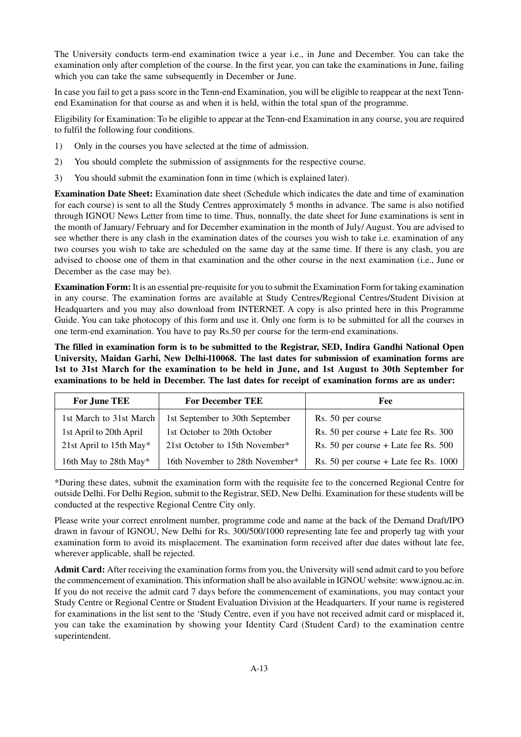The University conducts term-end examination twice a year i.e., in June and December. You can take the examination only after completion of the course. In the first year, you can take the examinations in June, failing which you can take the same subsequently in December or June.

In case you fail to get a pass score in the Tenn-end Examination, you will be eligible to reappear at the next Tennend Examination for that course as and when it is held, within the total span of the programme.

Eligibility for Examination: To be eligible to appear at the Tenn-end Examination in any course, you are required to fulfil the following four conditions.

- 1) Only in the courses you have selected at the time of admission.
- 2) You should complete the submission of assignments for the respective course.
- 3) You should submit the examination fonn in time (which is explained later).

**Examination Date Sheet:** Examination date sheet (Schedule which indicates the date and time of examination for each course) is sent to all the Study Centres approximately 5 months in advance. The same is also notified through IGNOU News Letter from time to time. Thus, nonnally, the date sheet for June examinations is sent in the month of January/ February and for December examination in the month of July/ August. You are advised to see whether there is any clash in the examination dates of the courses you wish to take i.e. examination of any two courses you wish to take are scheduled on the same day at the same time. If there is any clash, you are advised to choose one of them in that examination and the other course in the next examination (i.e., June or December as the case may be).

**Examination Form:** It is an essential pre-requisite for you to submit the Examination Form for taking examination in any course. The examination forms are available at Study Centres/Regional Centres/Student Division at Headquarters and you may also download from INTERNET. A copy is also printed here in this Programme Guide. You can take photocopy of this form and use it. Only one form is to be submitted for all the courses in one term-end examination. You have to pay Rs.50 per course for the term-end examinations.

**The filled in examination form is to be submitted to the Registrar, SED, Indira Gandhi National Open University, Maidan Garhi, New Delhi-l10068. The last dates for submission of examination forms are 1st to 31st March for the examination to be held in June, and 1st August to 30th September for examinations to be held in December. The last dates for receipt of examination forms are as under:**

| For June TEE            | <b>For December TEE</b>         | <b>Fee</b>                               |
|-------------------------|---------------------------------|------------------------------------------|
| 1st March to 31st March | 1st September to 30th September | Rs. 50 per course                        |
| 1st April to 20th April | 1st October to 20th October     | Rs. $50$ per course + Late fee Rs. $300$ |
| 21st April to 15th May* | 21st October to 15th November*  | Rs. 50 per course $+$ Late fee Rs. 500   |
| 16th May to 28th May*   | 16th November to 28th November* | Rs. 50 per course $+$ Late fee Rs. 1000  |

\*During these dates, submit the examination form with the requisite fee to the concerned Regional Centre for outside Delhi. For Delhi Region, submit to the Registrar, SED, New Delhi. Examination for these students will be conducted at the respective Regional Centre City only.

Please write your correct enrolment number, programme code and name at the back of the Demand Draft/IPO drawn in favour of IGNOU, New Delhi for Rs. 300/500/1000 representing late fee and properly tag with your examination form to avoid its misplacement. The examination form received after due dates without late fee, wherever applicable, shall be rejected.

**Admit Card:** After receiving the examination forms from you, the University will send admit card to you before the commencement of examination. This information shall be also available in IGNOU website: www.ignou.ac.in. If you do not receive the admit card 7 days before the commencement of examinations, you may contact your Study Centre or Regional Centre or Student Evaluation Division at the Headquarters. If your name is registered for examinations in the list sent to the 'Study Centre, even if you have not received admit card or misplaced it, you can take the examination by showing your Identity Card (Student Card) to the examination centre superintendent.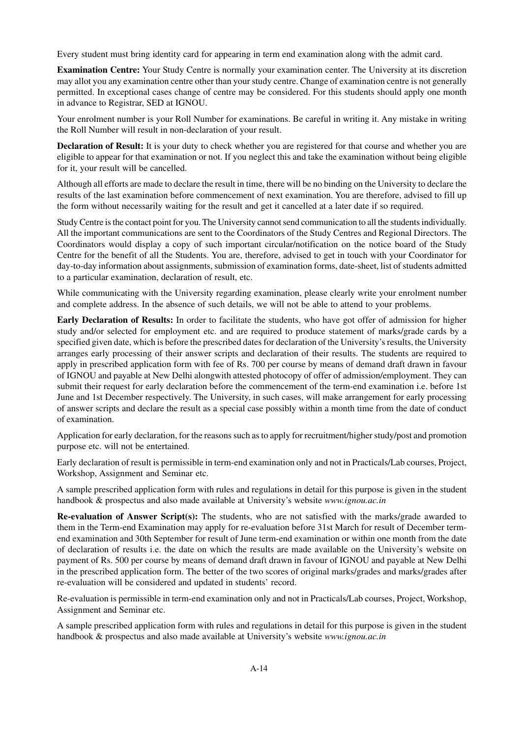Every student must bring identity card for appearing in term end examination along with the admit card.

**Examination Centre:** Your Study Centre is normally your examination center. The University at its discretion may allot you any examination centre other than your study centre. Change of examination centre is not generally permitted. In exceptional cases change of centre may be considered. For this students should apply one month in advance to Registrar, SED at IGNOU.

Your enrolment number is your Roll Number for examinations. Be careful in writing it. Any mistake in writing the Roll Number will result in non-declaration of your result.

**Declaration of Result:** It is your duty to check whether you are registered for that course and whether you are eligible to appear for that examination or not. If you neglect this and take the examination without being eligible for it, your result will be cancelled.

Although all efforts are made to declare the result in time, there will be no binding on the University to declare the results of the last examination before commencement of next examination. You are therefore, advised to fill up the form without necessarily waiting for the result and get it cancelled at a later date if so required.

Study Centre is the contact point for you. The University cannot send communication to all the students individually. All the important communications are sent to the Coordinators of the Study Centres and Regional Directors. The Coordinators would display a copy of such important circular/notification on the notice board of the Study Centre for the benefit of all the Students. You are, therefore, advised to get in touch with your Coordinator for day-to-day information about assignments, submission of examination forms, date-sheet, list of students admitted to a particular examination, declaration of result, etc.

While communicating with the University regarding examination, please clearly write your enrolment number and complete address. In the absence of such details, we will not be able to attend to your problems.

**Early Declaration of Results:** In order to facilitate the students, who have got offer of admission for higher study and/or selected for employment etc. and are required to produce statement of marks/grade cards by a specified given date, which is before the prescribed dates for declaration of the University's results, the University arranges early processing of their answer scripts and declaration of their results. The students are required to apply in prescribed application form with fee of Rs. 700 per course by means of demand draft drawn in favour of IGNOU and payable at New Delhi alongwith attested photocopy of offer of admission/employment. They can submit their request for early declaration before the commencement of the term-end examination i.e. before 1st June and 1st December respectively. The University, in such cases, will make arrangement for early processing of answer scripts and declare the result as a special case possibly within a month time from the date of conduct of examination.

Application for early declaration, for the reasons such as to apply for recruitment/higher study/post and promotion purpose etc. will not be entertained.

Early declaration of result is permissible in term-end examination only and not in Practicals/Lab courses, Project, Workshop, Assignment and Seminar etc.

A sample prescribed application form with rules and regulations in detail for this purpose is given in the student handbook & prospectus and also made available at University's website *www.ignou.ac.in*

**Re-evaluation of Answer Script(s):** The students, who are not satisfied with the marks/grade awarded to them in the Term-end Examination may apply for re-evaluation before 31st March for result of December termend examination and 30th September for result of June term-end examination or within one month from the date of declaration of results i.e. the date on which the results are made available on the University's website on payment of Rs. 500 per course by means of demand draft drawn in favour of IGNOU and payable at New Delhi in the prescribed application form. The better of the two scores of original marks/grades and marks/grades after re-evaluation will be considered and updated in students' record.

Re-evaluation is permissible in term-end examination only and not in Practicals/Lab courses, Project, Workshop, Assignment and Seminar etc.

A sample prescribed application form with rules and regulations in detail for this purpose is given in the student handbook & prospectus and also made available at University's website *www.ignou.ac.in*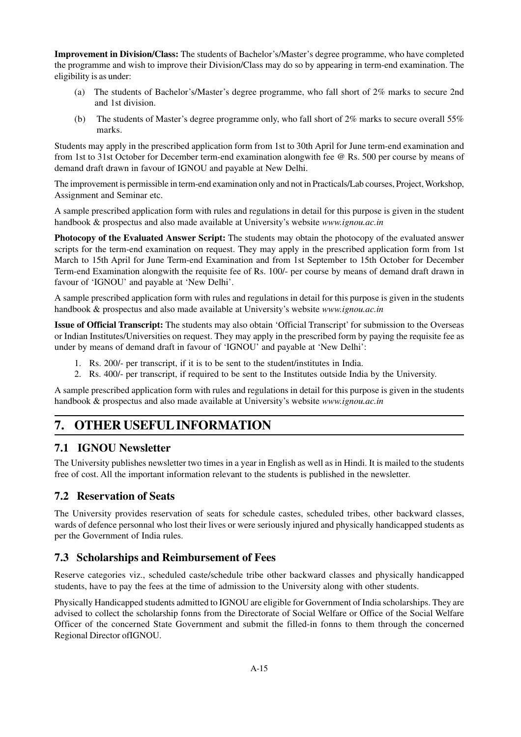**Improvement in Division/Class:** The students of Bachelor's/Master's degree programme, who have completed the programme and wish to improve their Division/Class may do so by appearing in term-end examination. The eligibility is as under:

- (a) The students of Bachelor's/Master's degree programme, who fall short of 2% marks to secure 2nd and 1st division.
- (b) The students of Master's degree programme only, who fall short of 2% marks to secure overall 55% marks.

Students may apply in the prescribed application form from 1st to 30th April for June term-end examination and from 1st to 31st October for December term-end examination alongwith fee @ Rs. 500 per course by means of demand draft drawn in favour of IGNOU and payable at New Delhi.

The improvement is permissible in term-end examination only and not in Practicals/Lab courses, Project, Workshop, Assignment and Seminar etc.

A sample prescribed application form with rules and regulations in detail for this purpose is given in the student handbook & prospectus and also made available at University's website *www.ignou.ac.in*

**Photocopy of the Evaluated Answer Script:** The students may obtain the photocopy of the evaluated answer scripts for the term-end examination on request. They may apply in the prescribed application form from 1st March to 15th April for June Term-end Examination and from 1st September to 15th October for December Term-end Examination alongwith the requisite fee of Rs. 100/- per course by means of demand draft drawn in favour of 'IGNOU' and payable at 'New Delhi'.

A sample prescribed application form with rules and regulations in detail for this purpose is given in the students handbook & prospectus and also made available at University's website *www.ignou.ac.in*

**Issue of Official Transcript:** The students may also obtain 'Official Transcript' for submission to the Overseas or Indian Institutes/Universities on request. They may apply in the prescribed form by paying the requisite fee as under by means of demand draft in favour of 'IGNOU' and payable at 'New Delhi':

- 1. Rs. 200/- per transcript, if it is to be sent to the student/institutes in India.
- 2. Rs. 400/- per transcript, if required to be sent to the Institutes outside India by the University.

A sample prescribed application form with rules and regulations in detail for this purpose is given in the students handbook & prospectus and also made available at University's website *www.ignou.ac.in*

# **7. OTHER USEFUL INFORMATION**

# **7.1 IGNOU Newsletter**

The University publishes newsletter two times in a year in English as well as in Hindi. It is mailed to the students free of cost. All the important information relevant to the students is published in the newsletter.

# **7.2 Reservation of Seats**

The University provides reservation of seats for schedule castes, scheduled tribes, other backward classes, wards of defence personnal who lost their lives or were seriously injured and physically handicapped students as per the Government of India rules.

# **7.3 Scholarships and Reimbursement of Fees**

Reserve categories viz., scheduled caste/schedule tribe other backward classes and physically handicapped students, have to pay the fees at the time of admission to the University along with other students.

Physically Handicapped students admitted to IGNOU are eligible for Government of India scholarships. They are advised to collect the scholarship fonns from the Directorate of Social Welfare or Office of the Social Welfare Officer of the concerned State Government and submit the filled-in fonns to them through the concerned Regional Director ofIGNOU.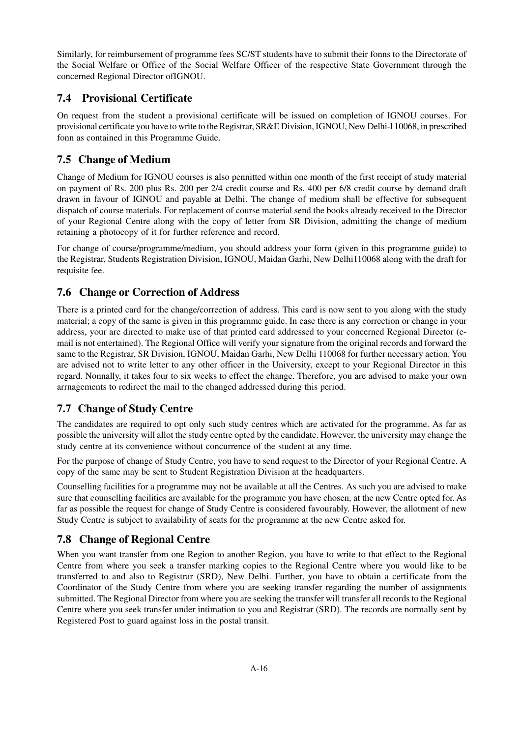Similarly, for reimbursement of programme fees SC/ST students have to submit their fonns to the Directorate of the Social Welfare or Office of the Social Welfare Officer of the respective State Government through the concerned Regional Director ofIGNOU.

# **7.4 Provisional Certificate**

On request from the student a provisional certificate will be issued on completion of IGNOU courses. For provisional certificate you have to write to the Registrar, SR&E Division, IGNOU, New Delhi-l 10068, in prescribed fonn as contained in this Programme Guide.

# **7.5 Change of Medium**

Change of Medium for IGNOU courses is also pennitted within one month of the first receipt of study material on payment of Rs. 200 plus Rs. 200 per 2/4 credit course and Rs. 400 per 6/8 credit course by demand draft drawn in favour of IGNOU and payable at Delhi. The change of medium shall be effective for subsequent dispatch of course materials. For replacement of course material send the books already received to the Director of your Regional Centre along with the copy of letter from SR Division, admitting the change of medium retaining a photocopy of it for further reference and record.

For change of course/programme/medium, you should address your form (given in this programme guide) to the Registrar, Students Registration Division, IGNOU, Maidan Garhi, New Delhi110068 along with the draft for requisite fee.

# **7.6 Change or Correction of Address**

There is a printed card for the change/correction of address. This card is now sent to you along with the study material; a copy of the same is given in this programme guide. In case there is any correction or change in your address, your are directed to make use of that printed card addressed to your concerned Regional Director (email is not entertained). The Regional Office will verify your signature from the original records and forward the same to the Registrar, SR Division, IGNOU, Maidan Garhi, New Delhi 110068 for further necessary action. You are advised not to write letter to any other officer in the University, except to your Regional Director in this regard. Nonnally, it takes four to six weeks to effect the change. Therefore, you are advised to make your own arrnagements to redirect the mail to the changed addressed during this period.

# **7.7 Change of Study Centre**

The candidates are required to opt only such study centres which are activated for the programme. As far as possible the university will allot the study centre opted by the candidate. However, the university may change the study centre at its convenience without concurrence of the student at any time.

For the purpose of change of Study Centre, you have to send request to the Director of your Regional Centre. A copy of the same may be sent to Student Registration Division at the headquarters.

Counselling facilities for a programme may not be available at all the Centres. As such you are advised to make sure that counselling facilities are available for the programme you have chosen, at the new Centre opted for. As far as possible the request for change of Study Centre is considered favourably. However, the allotment of new Study Centre is subject to availability of seats for the programme at the new Centre asked for.

# **7.8 Change of Regional Centre**

When you want transfer from one Region to another Region, you have to write to that effect to the Regional Centre from where you seek a transfer marking copies to the Regional Centre where you would like to be transferred to and also to Registrar (SRD), New Delhi. Further, you have to obtain a certificate from the Coordinator of the Study Centre from where you are seeking transfer regarding the number of assignments submitted. The Regional Director from where you are seeking the transfer will transfer all records to the Regional Centre where you seek transfer under intimation to you and Registrar (SRD). The records are normally sent by Registered Post to guard against loss in the postal transit.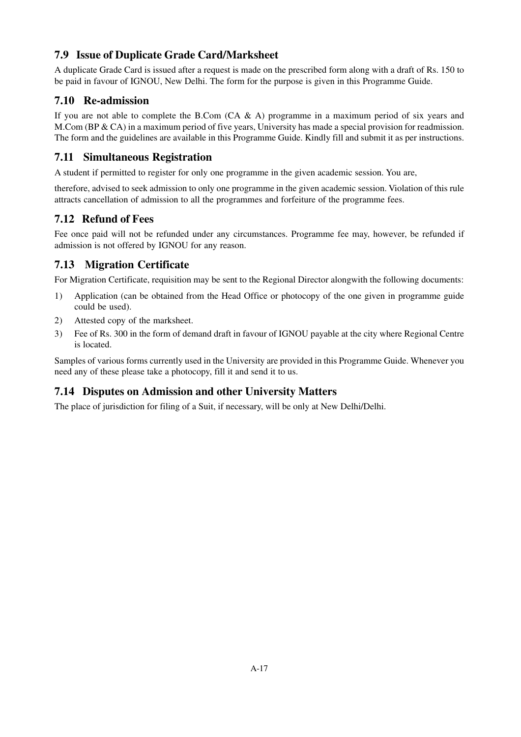# **7.9 Issue of Duplicate Grade Card/Marksheet**

A duplicate Grade Card is issued after a request is made on the prescribed form along with a draft of Rs. 150 to be paid in favour of IGNOU, New Delhi. The form for the purpose is given in this Programme Guide.

# **7.10 Re-admission**

If you are not able to complete the B.Com  $(CA \& A)$  programme in a maximum period of six years and M.Com (BP & CA) in a maximum period of five years, University has made a special provision for readmission. The form and the guidelines are available in this Programme Guide. Kindly fill and submit it as per instructions.

# **7.11 Simultaneous Registration**

A student if permitted to register for only one programme in the given academic session. You are,

therefore, advised to seek admission to only one programme in the given academic session. Violation of this rule attracts cancellation of admission to all the programmes and forfeiture of the programme fees.

# **7.12 Refund of Fees**

Fee once paid will not be refunded under any circumstances. Programme fee may, however, be refunded if admission is not offered by IGNOU for any reason.

# **7.13 Migration Certificate**

For Migration Certificate, requisition may be sent to the Regional Director alongwith the following documents:

- 1) Application (can be obtained from the Head Office or photocopy of the one given in programme guide could be used).
- 2) Attested copy of the marksheet.
- 3) Fee of Rs. 300 in the form of demand draft in favour of IGNOU payable at the city where Regional Centre is located.

Samples of various forms currently used in the University are provided in this Programme Guide. Whenever you need any of these please take a photocopy, fill it and send it to us.

# **7.14 Disputes on Admission and other University Matters**

The place of jurisdiction for filing of a Suit, if necessary, will be only at New Delhi/Delhi.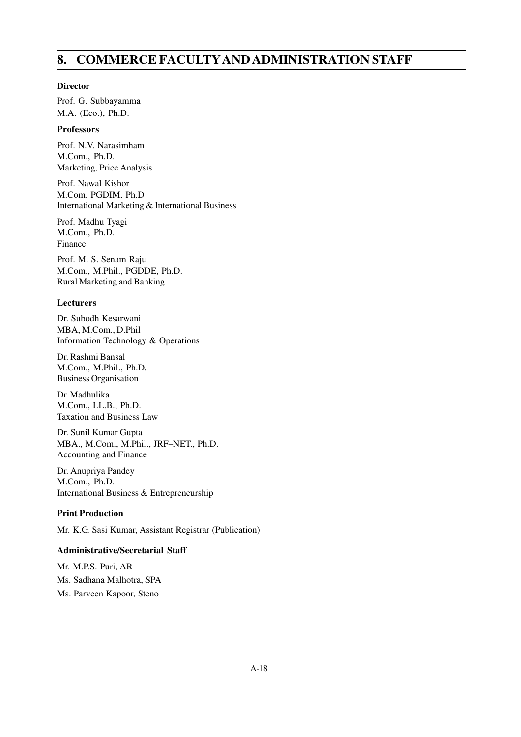# **8. COMMERCE FACULTYAND ADMINISTRATION STAFF**

#### **Director**

Prof. G. Subbayamma M.A. (Eco.), Ph.D.

# **Professors**

Prof. N.V. Narasimham M.Com., Ph.D. Marketing, Price Analysis

Prof. Nawal Kishor M.Com. PGDIM, Ph.D International Marketing & International Business

Prof. Madhu Tyagi M.Com., Ph.D. Finance

Prof. M. S. Senam Raju M.Com., M.Phil., PGDDE, Ph.D. Rural Marketing and Banking

# **Lecturers**

Dr. Subodh Kesarwani MBA, M.Com., D.Phil Information Technology & Operations

Dr. Rashmi Bansal M.Com., M.Phil., Ph.D. Business Organisation

Dr. Madhulika M.Com., LL.B., Ph.D. Taxation and Business Law

Dr. Sunil Kumar Gupta MBA., M.Com., M.Phil., JRF–NET., Ph.D. Accounting and Finance

Dr. Anupriya Pandey M.Com., Ph.D. International Business & Entrepreneurship

# **Print Production**

Mr. K.G. Sasi Kumar, Assistant Registrar (Publication)

# **Administrative/Secretarial Staff**

Mr. M.P.S. Puri, AR Ms. Sadhana Malhotra, SPA Ms. Parveen Kapoor, Steno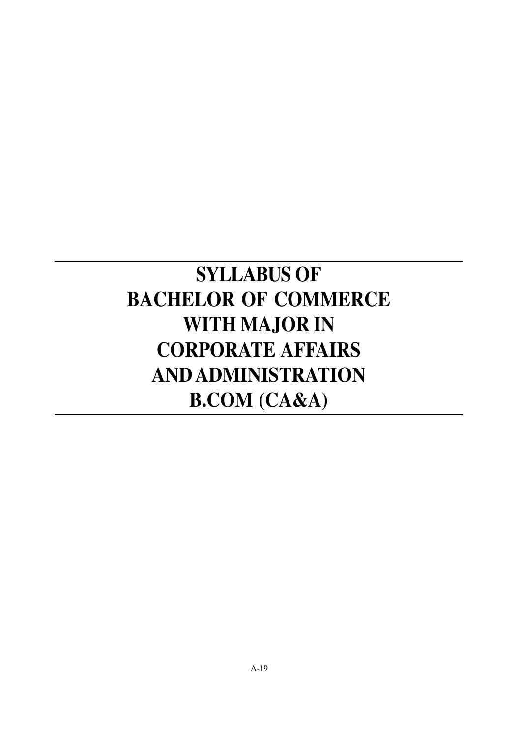# **SYLLABUS OF BACHELOR OF COMMERCE WITH MAJOR IN CORPORATE AFFAIRS AND ADMINISTRATION B.COM (CA&A)**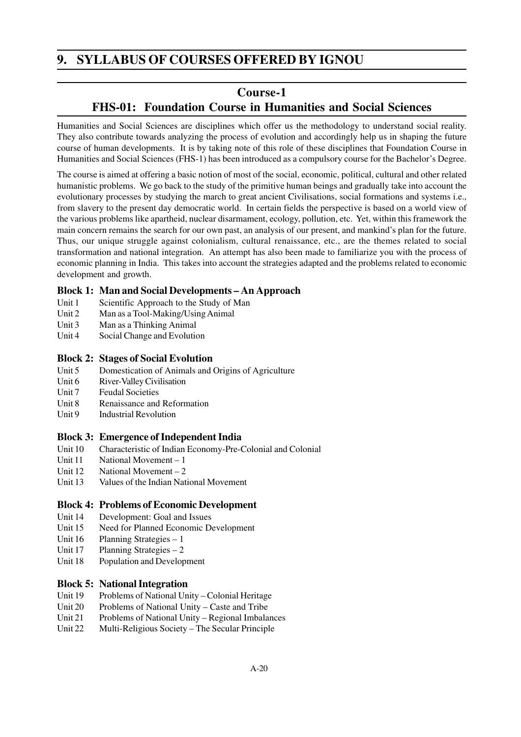# **9. SYLLABUS OF COURSES OFFERED BY IGNOU**

# **Course-1**

# **FHS-01: Foundation Course in Humanities and Social Sciences**

Humanities and Social Sciences are disciplines which offer us the methodology to understand social reality. They also contribute towards analyzing the process of evolution and accordingly help us in shaping the future course of human developments. It is by taking note of this role of these disciplines that Foundation Course in Humanities and Social Sciences (FHS-1) has been introduced as a compulsory course for the Bachelor's Degree.

The course is aimed at offering a basic notion of most of the social, economic, political, cultural and other related humanistic problems. We go back to the study of the primitive human beings and gradually take into account the evolutionary processes by studying the march to great ancient Civilisations, social formations and systems i.e., from slavery to the present day democratic world. In certain fields the perspective is based on a world view of the various problems like apartheid, nuclear disarmament, ecology, pollution, etc. Yet, within this framework the main concern remains the search for our own past, an analysis of our present, and mankind's plan for the future. Thus, our unique struggle against colonialism, cultural renaissance, etc., are the themes related to social transformation and national integration. An attempt has also been made to familiarize you with the process of economic planning in India. This takes into account the strategies adapted and the problems related to economic development and growth.

# **Block 1: Man and Social Developments – An Approach**

- Unit 1 Scientific Approach to the Study of Man
- Unit 2 Man as a Tool-Making/Using Animal
- Unit 3 Man as a Thinking Animal
- Unit 4 Social Change and Evolution

# **Block 2: Stages of Social Evolution**

- Unit 5 Domestication of Animals and Origins of Agriculture
- Unit 6 River-Valley Civilisation
- Unit 7 Feudal Societies
- Unit 8 Renaissance and Reformation
- Unit 9 Industrial Revolution

# **Block 3: Emergence of Independent India**

- Unit 10 Characteristic of Indian Economy-Pre-Colonial and Colonial
- Unit 11 National Movement 1
- Unit 12 National Movement 2
- Unit 13 Values of the Indian National Movement

# **Block 4: Problems of Economic Development**

- Unit 14 Development: Goal and Issues
- Unit 15 Need for Planned Economic Development
- Unit 16 Planning Strategies 1
- Unit  $17$  Planning Strategies  $-2$
- Unit 18 Population and Development

# **Block 5: National Integration**

- Unit 19 Problems of National Unity Colonial Heritage
- Unit 20 Problems of National Unity Caste and Tribe
- Unit 21 Problems of National Unity Regional Imbalances
- Unit 22 Multi-Religious Society The Secular Principle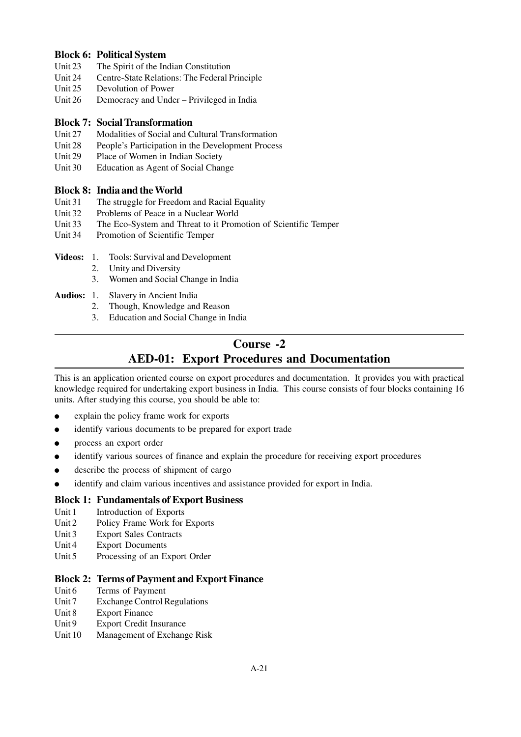# **Block 6: Political System**

- Unit 23 The Spirit of the Indian Constitution
- Unit 24 Centre-State Relations: The Federal Principle
- Unit 25 Devolution of Power
- Unit 26 Democracy and Under Privileged in India

## **Block 7: Social Transformation**

- Unit 27 Modalities of Social and Cultural Transformation
- Unit 28 People's Participation in the Development Process
- Unit 29 Place of Women in Indian Society
- Unit 30 Education as Agent of Social Change

# **Block 8: India and the World**

- Unit 31 The struggle for Freedom and Racial Equality
- Unit 32 Problems of Peace in a Nuclear World
- Unit 33 The Eco-System and Threat to it Promotion of Scientific Temper
- Unit 34 Promotion of Scientific Temper
- **Videos:** 1. Tools: Survival and Development
	- 2. Unity and Diversity
	- 3. Women and Social Change in India
- **Audios:** 1. Slavery in Ancient India
	- 2. Though, Knowledge and Reason
	- 3. Education and Social Change in India

# **Course -2 AED-01: Export Procedures and Documentation**

This is an application oriented course on export procedures and documentation. It provides you with practical knowledge required for undertaking export business in India. This course consists of four blocks containing 16 units. After studying this course, you should be able to:

- explain the policy frame work for exports
- identify various documents to be prepared for export trade
- process an export order
- identify various sources of finance and explain the procedure for receiving export procedures
- describe the process of shipment of cargo
- identify and claim various incentives and assistance provided for export in India.

# **Block 1: Fundamentals of Export Business**

- Unit 1 Introduction of Exports
- Unit 2 Policy Frame Work for Exports
- Unit 3 Export Sales Contracts
- Unit 4 Export Documents
- Unit 5 Processing of an Export Order

# **Block 2: Terms of Payment and Export Finance**

- Unit 6 Terms of Payment
- Unit 7 Exchange Control Regulations
- Unit 8 Export Finance
- Unit 9 Export Credit Insurance
- Unit 10 Management of Exchange Risk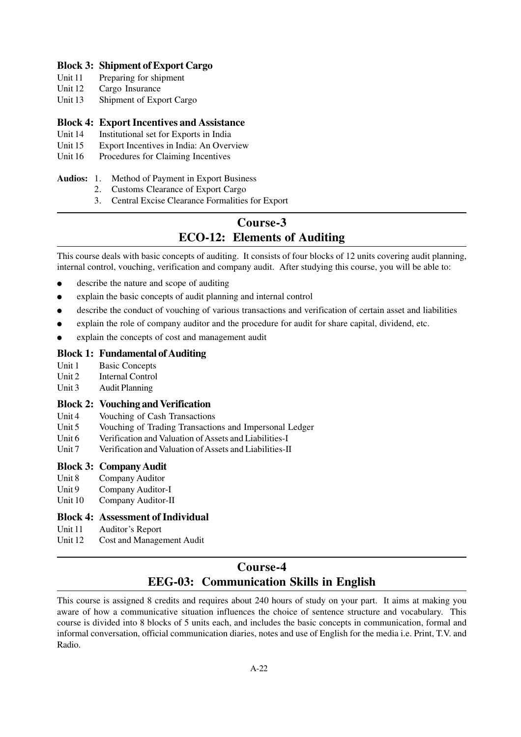# **Block 3: Shipment of Export Cargo**

- Unit 11 Preparing for shipment
- Unit 12 Cargo Insurance
- Unit 13 Shipment of Export Cargo

#### **Block 4: Export Incentives and Assistance**

- Unit 14 Institutional set for Exports in India
- Unit 15 Export Incentives in India: An Overview
- Unit 16 Procedures for Claiming Incentives

#### **Audios:** 1. Method of Payment in Export Business

- 2. Customs Clearance of Export Cargo
- 3. Central Excise Clearance Formalities for Export

# **Course-3 ECO-12: Elements of Auditing**

This course deals with basic concepts of auditing. It consists of four blocks of 12 units covering audit planning, internal control, vouching, verification and company audit. After studying this course, you will be able to:

- describe the nature and scope of auditing
- explain the basic concepts of audit planning and internal control
- describe the conduct of vouching of various transactions and verification of certain asset and liabilities
- explain the role of company auditor and the procedure for audit for share capital, dividend, etc.
- explain the concepts of cost and management audit

# **Block 1: Fundamental of Auditing**

- Unit 1 Basic Concepts
- Unit 2 Internal Control
- Unit 3 Audit Planning

# **Block 2: Vouching and Verification**

- Unit 4 Vouching of Cash Transactions
- Unit 5 Vouching of Trading Transactions and Impersonal Ledger
- Unit 6 Verification and Valuation of Assets and Liabilities-I
- Unit 7 Verification and Valuation of Assets and Liabilities-II

# **Block 3: Company Audit**

- Unit 8 Company Auditor
- Unit 9 Company Auditor-I
- Unit 10 Company Auditor-II

# **Block 4: Assessment of Individual**

- Unit 11 Auditor's Report
- Unit 12 Cost and Management Audit

# **Course-4 EEG-03: Communication Skills in English**

This course is assigned 8 credits and requires about 240 hours of study on your part. It aims at making you aware of how a communicative situation influences the choice of sentence structure and vocabulary. This course is divided into 8 blocks of 5 units each, and includes the basic concepts in communication, formal and informal conversation, official communication diaries, notes and use of English for the media i.e. Print, T.V. and Radio.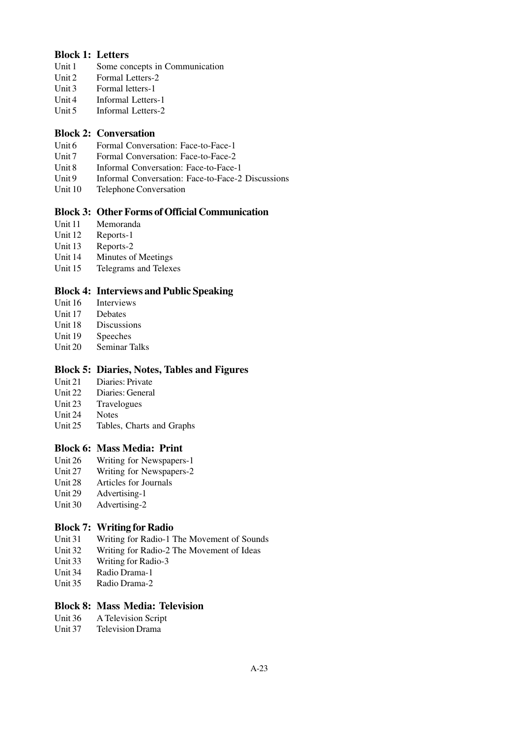# **Block 1: Letters**

- Unit 1 Some concepts in Communication
- Unit 2 Formal Letters-2
- Unit 3 Formal letters-1
- Unit 4 Informal Letters-1
- Unit 5 Informal Letters-2

# **Block 2: Conversation**

- Unit 6 Formal Conversation: Face-to-Face-1
- Unit 7 Formal Conversation: Face-to-Face-2
- Unit 8 Informal Conversation: Face-to-Face-1
- Unit 9 Informal Conversation: Face-to-Face-2 Discussions
- Unit 10 Telephone Conversation

# **Block 3: Other Forms of Official Communication**

- Unit 11 Memoranda
- Unit 12 Reports-1
- Unit 13 Reports-2
- Unit 14 Minutes of Meetings
- Unit 15 Telegrams and Telexes

# **Block 4: Interviews and Public Speaking**

- Unit 16 Interviews
- Unit 17 Debates
- Unit 18 Discussions
- Unit 19 Speeches
- Unit 20 Seminar Talks

# **Block 5: Diaries, Notes, Tables and Figures**

- Unit 21 Diaries: Private
- Unit 22 Diaries: General
- Unit 23 Travelogues
- Unit 24 Notes
- Unit 25 Tables, Charts and Graphs

# **Block 6: Mass Media: Print**

- Unit 26 Writing for Newspapers-1
- Unit 27 Writing for Newspapers-2
- Unit 28 Articles for Journals
- Unit 29 Advertising-1
- Unit 30 Advertising-2

# **Block 7: Writing for Radio**

- Unit 31 Writing for Radio-1 The Movement of Sounds
- Unit 32 Writing for Radio-2 The Movement of Ideas
- Unit 33 Writing for Radio-3
- Unit 34 Radio Drama-1
- Unit 35 Radio Drama-2

# **Block 8: Mass Media: Television**

- Unit 36 A Television Script
- Unit 37 Television Drama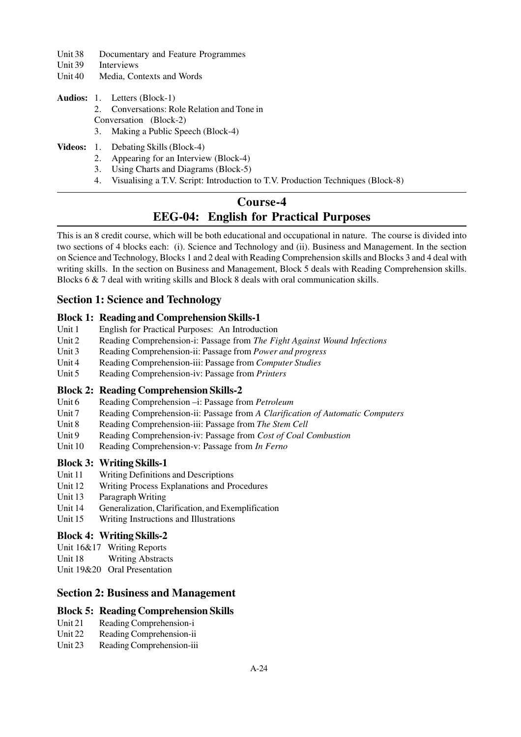- Unit 38 Documentary and Feature Programmes
- Unit 39 Interviews
- Unit 40 Media, Contexts and Words
- **Audios:** 1. Letters (Block-1) 2. Conversations: Role Relation and Tone in Conversation (Block-2) 3. Making a Public Speech (Block-4)
- **Videos:** 1. Debating Skills (Block-4)
	- 2. Appearing for an Interview (Block-4)
	- 3. Using Charts and Diagrams (Block-5)
	- 4. Visualising a T.V. Script: Introduction to T.V. Production Techniques (Block-8)

# **Course-4 EEG-04: English for Practical Purposes**

This is an 8 credit course, which will be both educational and occupational in nature. The course is divided into two sections of 4 blocks each: (i). Science and Technology and (ii). Business and Management. In the section on Science and Technology, Blocks 1 and 2 deal with Reading Comprehension skills and Blocks 3 and 4 deal with writing skills. In the section on Business and Management, Block 5 deals with Reading Comprehension skills. Blocks 6 & 7 deal with writing skills and Block 8 deals with oral communication skills.

# **Section 1: Science and Technology**

#### **Block 1: Reading and Comprehension Skills-1**

- Unit 1 English for Practical Purposes: An Introduction
- Unit 2 Reading Comprehension-i: Passage from *The Fight Against Wound Infections*
- Unit 3 Reading Comprehension-ii: Passage from *Power and progress*
- Unit 4 Reading Comprehension-iii: Passage from *Computer Studies*
- Unit 5 Reading Comprehension-iv: Passage from *Printers*

# **Block 2: Reading Comprehension Skills-2**

- Unit 6 Reading Comprehension –i: Passage from *Petroleum*
- Unit 7 Reading Comprehension-ii: Passage from *A Clarification of Automatic Computers*
- Unit 8 Reading Comprehension-iii: Passage from *The Stem Cell*
- Unit 9 Reading Comprehension-iv: Passage from *Cost of Coal Combustion*
- Unit 10 Reading Comprehension-v: Passage from *In Ferno*

# **Block 3: Writing Skills-1**

- Unit 11 Writing Definitions and Descriptions
- Unit 12 Writing Process Explanations and Procedures
- Unit 13 Paragraph Writing
- Unit 14 Generalization, Clarification, and Exemplification
- Unit 15 Writing Instructions and Illustrations

#### **Block 4: Writing Skills-2**

- Unit 16&17 Writing Reports
- Unit 18 Writing Abstracts
- Unit 19&20 Oral Presentation

# **Section 2: Business and Management**

# **Block 5: Reading Comprehension Skills**

- Unit 21 Reading Comprehension-i
- Unit 22 Reading Comprehension-ii
- Unit 23 Reading Comprehension-iii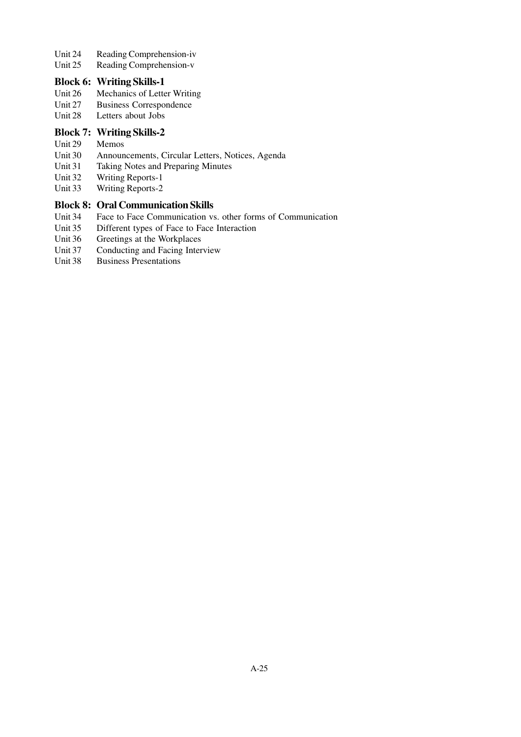- Unit 24 Reading Comprehension-iv<br>Unit 25 Reading Comprehension-v
- Reading Comprehension-v

# **Block 6: Writing Skills-1**

- Unit 26 Mechanics of Letter Writing<br>Unit 27 Business Correspondence
- Business Correspondence
- Unit 28 Letters about Jobs

## **Block 7: Writing Skills-2**

- Unit 29 Memos
- Unit 30 Announcements, Circular Letters, Notices, Agenda
- Unit 31 Taking Notes and Preparing Minutes
- Unit 32 Writing Reports-1<br>Unit 33 Writing Reports-2
- Writing Reports-2

# **Block 8: Oral Communication Skills**

- Unit 34 Face to Face Communication vs. other forms of Communication<br>Unit 35 Different types of Face to Face Interaction
- Different types of Face to Face Interaction
- Unit 36 Greetings at the Workplaces
- Unit 37 Conducting and Facing Interview
- Unit 38 Business Presentations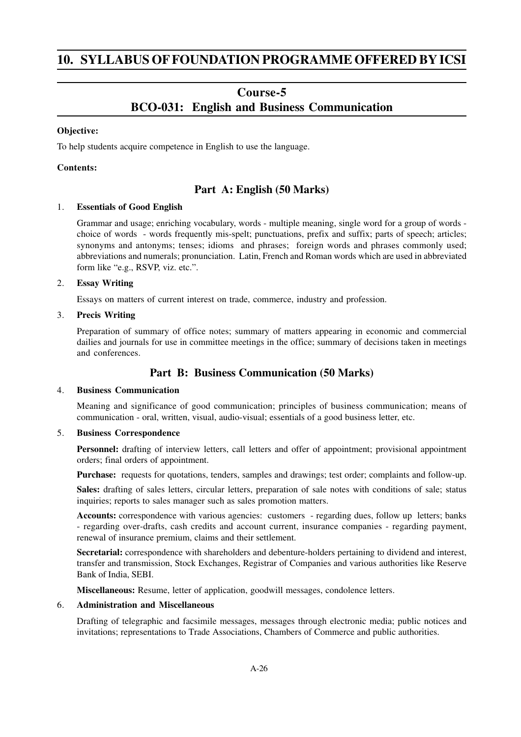# **10. SYLLABUS OF FOUNDATION PROGRAMME OFFERED BY ICSI**

# **Course-5 BCO-031: English and Business Communication**

#### **Objective:**

To help students acquire competence in English to use the language.

# **Contents:**

# **Part A: English (50 Marks)**

#### 1. **Essentials of Good English**

Grammar and usage; enriching vocabulary, words - multiple meaning, single word for a group of words choice of words - words frequently mis-spelt; punctuations, prefix and suffix; parts of speech; articles; synonyms and antonyms; tenses; idioms and phrases; foreign words and phrases commonly used; abbreviations and numerals; pronunciation. Latin, French and Roman words which are used in abbreviated form like "e.g., RSVP, viz. etc.".

#### 2. **Essay Writing**

Essays on matters of current interest on trade, commerce, industry and profession.

#### 3. **Precis Writing**

Preparation of summary of office notes; summary of matters appearing in economic and commercial dailies and journals for use in committee meetings in the office; summary of decisions taken in meetings and conferences.

# **Part B: Business Communication (50 Marks)**

#### 4. **Business Communication**

Meaning and significance of good communication; principles of business communication; means of communication - oral, written, visual, audio-visual; essentials of a good business letter, etc.

#### 5. **Business Correspondence**

**Personnel:** drafting of interview letters, call letters and offer of appointment; provisional appointment orders; final orders of appointment.

**Purchase:** requests for quotations, tenders, samples and drawings; test order; complaints and follow-up.

**Sales:** drafting of sales letters, circular letters, preparation of sale notes with conditions of sale; status inquiries; reports to sales manager such as sales promotion matters.

**Accounts:** correspondence with various agencies: customers - regarding dues, follow up letters; banks - regarding over-drafts, cash credits and account current, insurance companies - regarding payment, renewal of insurance premium, claims and their settlement.

**Secretarial:** correspondence with shareholders and debenture-holders pertaining to dividend and interest, transfer and transmission, Stock Exchanges, Registrar of Companies and various authorities like Reserve Bank of India, SEBI.

**Miscellaneous:** Resume, letter of application, goodwill messages, condolence letters.

#### 6. **Administration and Miscellaneous**

Drafting of telegraphic and facsimile messages, messages through electronic media; public notices and invitations; representations to Trade Associations, Chambers of Commerce and public authorities.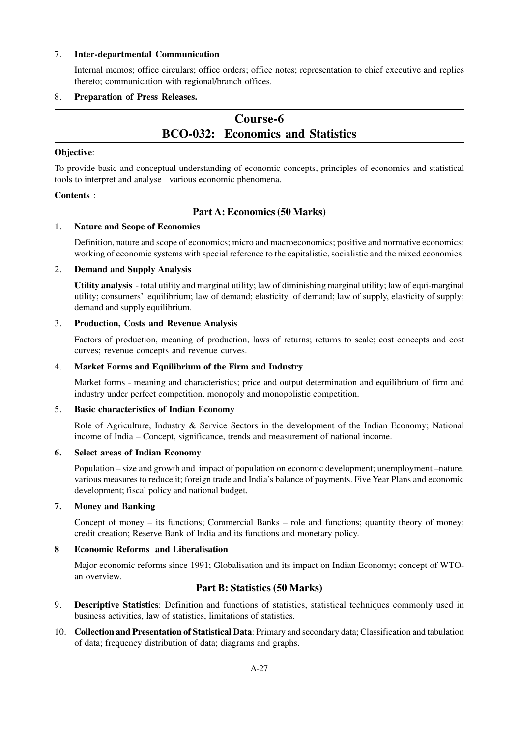#### 7. **Inter-departmental Communication**

Internal memos; office circulars; office orders; office notes; representation to chief executive and replies thereto; communication with regional/branch offices.

#### 8. **Preparation of Press Releases.**

# **Course-6 BCO-032: Economics and Statistics**

#### **Objective**:

To provide basic and conceptual understanding of economic concepts, principles of economics and statistical tools to interpret and analyse various economic phenomena.

#### **Contents** :

# **Part A: Economics (50 Marks)**

#### 1. **Nature and Scope of Economics**

Definition, nature and scope of economics; micro and macroeconomics; positive and normative economics; working of economic systems with special reference to the capitalistic, socialistic and the mixed economies.

#### 2. **Demand and Supply Analysis**

**Utility analysis** - total utility and marginal utility; law of diminishing marginal utility; law of equi-marginal utility; consumers' equilibrium; law of demand; elasticity of demand; law of supply, elasticity of supply; demand and supply equilibrium.

#### 3. **Production, Costs and Revenue Analysis**

Factors of production, meaning of production, laws of returns; returns to scale; cost concepts and cost curves; revenue concepts and revenue curves.

#### 4. **Market Forms and Equilibrium of the Firm and Industry**

Market forms - meaning and characteristics; price and output determination and equilibrium of firm and industry under perfect competition, monopoly and monopolistic competition.

#### 5. **Basic characteristics of Indian Economy**

Role of Agriculture, Industry & Service Sectors in the development of the Indian Economy; National income of India – Concept, significance, trends and measurement of national income.

#### **6. Select areas of Indian Economy**

Population – size and growth and impact of population on economic development; unemployment –nature, various measures to reduce it; foreign trade and India's balance of payments. Five Year Plans and economic development; fiscal policy and national budget.

# **7. Money and Banking**

Concept of money – its functions; Commercial Banks – role and functions; quantity theory of money; credit creation; Reserve Bank of India and its functions and monetary policy.

#### **8 Economic Reforms and Liberalisation**

Major economic reforms since 1991; Globalisation and its impact on Indian Economy; concept of WTOan overview.

# **Part B: Statistics (50 Marks)**

- 9. **Descriptive Statistics**: Definition and functions of statistics, statistical techniques commonly used in business activities, law of statistics, limitations of statistics.
- 10. **Collection and Presentation of Statistical Data**: Primary and secondary data; Classification and tabulation of data; frequency distribution of data; diagrams and graphs.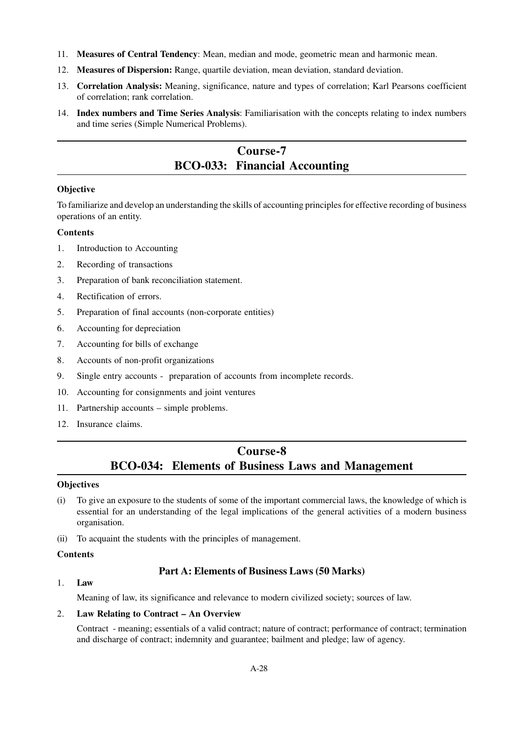- 11. **Measures of Central Tendency**: Mean, median and mode, geometric mean and harmonic mean.
- 12. **Measures of Dispersion:** Range, quartile deviation, mean deviation, standard deviation.
- 13. **Correlation Analysis:** Meaning, significance, nature and types of correlation; Karl Pearsons coefficient of correlation; rank correlation.
- 14. **Index numbers and Time Series Analysis**: Familiarisation with the concepts relating to index numbers and time series (Simple Numerical Problems).

# **Course-7 BCO-033: Financial Accounting**

# **Objective**

To familiarize and develop an understanding the skills of accounting principles for effective recording of business operations of an entity.

# **Contents**

- 1. Introduction to Accounting
- 2. Recording of transactions
- 3. Preparation of bank reconciliation statement.
- 4. Rectification of errors.
- 5. Preparation of final accounts (non-corporate entities)
- 6. Accounting for depreciation
- 7. Accounting for bills of exchange
- 8. Accounts of non-profit organizations
- 9. Single entry accounts preparation of accounts from incomplete records.
- 10. Accounting for consignments and joint ventures
- 11. Partnership accounts simple problems.
- 12. Insurance claims.

# **Course-8 BCO-034: Elements of Business Laws and Management**

# **Objectives**

- (i) To give an exposure to the students of some of the important commercial laws, the knowledge of which is essential for an understanding of the legal implications of the general activities of a modern business organisation.
- (ii) To acquaint the students with the principles of management.

# **Contents**

# **Part A: Elements of Business Laws (50 Marks)**

# 1. **Law**

Meaning of law, its significance and relevance to modern civilized society; sources of law.

# 2. **Law Relating to Contract – An Overview**

Contract - meaning; essentials of a valid contract; nature of contract; performance of contract; termination and discharge of contract; indemnity and guarantee; bailment and pledge; law of agency.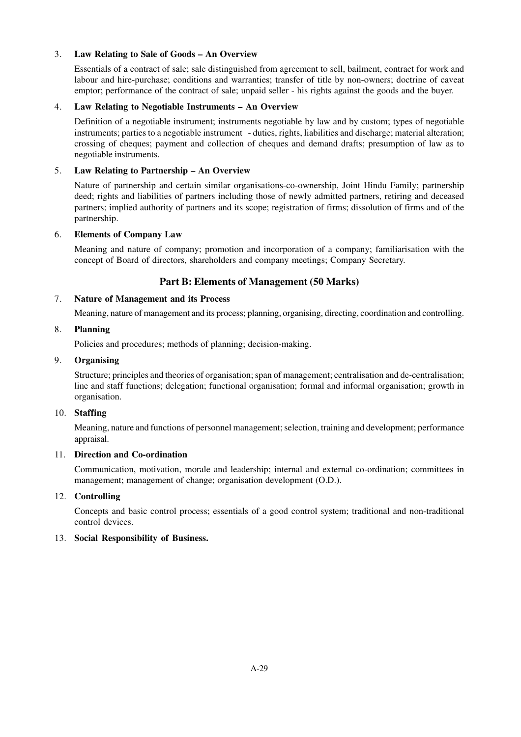# 3. **Law Relating to Sale of Goods – An Overview**

Essentials of a contract of sale; sale distinguished from agreement to sell, bailment, contract for work and labour and hire-purchase; conditions and warranties; transfer of title by non-owners; doctrine of caveat emptor; performance of the contract of sale; unpaid seller - his rights against the goods and the buyer.

#### 4. **Law Relating to Negotiable Instruments – An Overview**

Definition of a negotiable instrument; instruments negotiable by law and by custom; types of negotiable instruments; parties to a negotiable instrument - duties, rights, liabilities and discharge; material alteration; crossing of cheques; payment and collection of cheques and demand drafts; presumption of law as to negotiable instruments.

## 5. **Law Relating to Partnership – An Overview**

Nature of partnership and certain similar organisations-co-ownership, Joint Hindu Family; partnership deed; rights and liabilities of partners including those of newly admitted partners, retiring and deceased partners; implied authority of partners and its scope; registration of firms; dissolution of firms and of the partnership.

#### 6. **Elements of Company Law**

Meaning and nature of company; promotion and incorporation of a company; familiarisation with the concept of Board of directors, shareholders and company meetings; Company Secretary.

# **Part B: Elements of Management (50 Marks)**

#### 7. **Nature of Management and its Process**

Meaning, nature of management and its process; planning, organising, directing, coordination and controlling.

#### 8. **Planning**

Policies and procedures; methods of planning; decision-making.

#### 9. **Organising**

Structure; principles and theories of organisation; span of management; centralisation and de-centralisation; line and staff functions; delegation; functional organisation; formal and informal organisation; growth in organisation.

# 10. **Staffing**

Meaning, nature and functions of personnel management; selection, training and development; performance appraisal.

#### 11. **Direction and Co-ordination**

Communication, motivation, morale and leadership; internal and external co-ordination; committees in management; management of change; organisation development (O.D.).

# 12. **Controlling**

Concepts and basic control process; essentials of a good control system; traditional and non-traditional control devices.

#### 13. **Social Responsibility of Business.**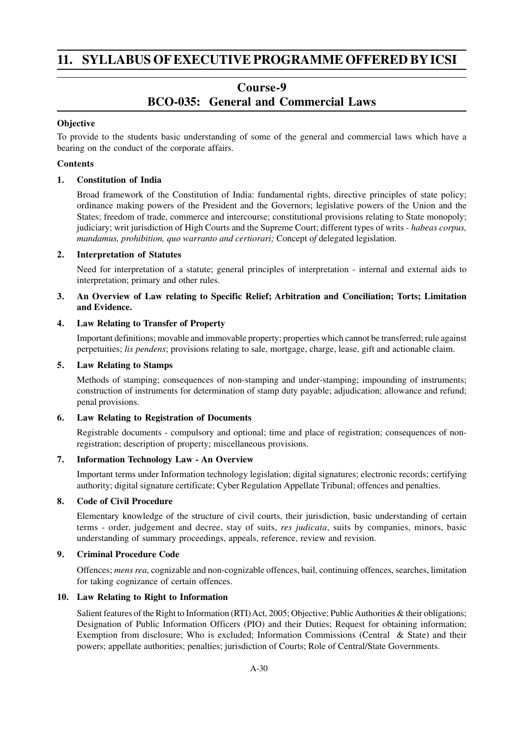# **11. SYLLABUS OF EXECUTIVE PROGRAMME OFFERED BYICSI**

# **Course-9 BCO-035: General and Commercial Laws**

## **Objective**

To provide to the students basic understanding of some of the general and commercial laws which have a bearing on the conduct of the corporate affairs.

## **Contents**

#### **1. Constitution of India**

Broad framework of the Constitution of India: fundamental rights, directive principles of state policy; ordinance making powers of the President and the Governors; legislative powers of the Union and the States; freedom of trade, commerce and intercourse; constitutional provisions relating to State monopoly; judiciary; writ jurisdiction of High Courts and the Supreme Court; different types of writs - *habeas corpus, mandamus, prohibition, quo warranto and certiorari;* Concept o*f* delegated legislation.

#### **2. Interpretation of Statutes**

Need for interpretation of a statute; general principles of interpretation - internal and external aids to interpretation; primary and other rules.

# **3. An Overview of Law relating to Specific Relief; Arbitration and Conciliation; Torts; Limitation and Evidence.**

#### **4. Law Relating to Transfer of Property**

Important definitions; movable and immovable property; properties which cannot be transferred; rule against perpetuities; *lis pendens*; provisions relating to sale, mortgage, charge, lease, gift and actionable claim.

#### **5. Law Relating to Stamps**

Methods of stamping; consequences of non-stamping and under-stamping; impounding of instruments; construction of instruments for determination of stamp duty payable; adjudication; allowance and refund; penal provisions.

#### **6. Law Relating to Registration of Documents**

Registrable documents - compulsory and optional; time and place of registration; consequences of nonregistration; description of property; miscellaneous provisions.

#### **7. Information Technology Law - An Overview**

Important terms under Information technology legislation; digital signatures; electronic records; certifying authority; digital signature certificate; Cyber Regulation Appellate Tribunal; offences and penalties.

#### **8. Code of Civil Procedure**

Elementary knowledge of the structure of civil courts, their jurisdiction, basic understanding of certain terms - order, judgement and decree, stay of suits, *res judicata*, suits by companies, minors, basic understanding of summary proceedings, appeals, reference, review and revision.

# **9. Criminal Procedure Code**

Offences; *mens rea*, cognizable and non-cognizable offences, bail, continuing offences, searches, limitation for taking cognizance of certain offences.

#### **10. Law Relating to Right to Information**

Salient features of the Right to Information (RTI) Act, 2005; Objective; Public Authorities & their obligations; Designation of Public Information Officers (PIO) and their Duties; Request for obtaining information; Exemption from disclosure; Who is excluded; Information Commissions (Central & State) and their powers; appellate authorities; penalties; jurisdiction of Courts; Role of Central/State Governments.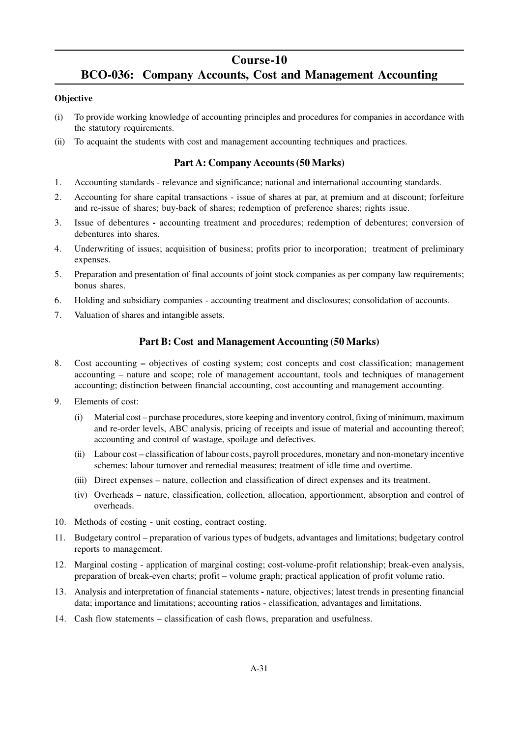# **Course-10**

# **BCO-036: Company Accounts, Cost and Management Accounting**

## **Objective**

- (i) To provide working knowledge of accounting principles and procedures for companies in accordance with the statutory requirements.
- (ii) To acquaint the students with cost and management accounting techniques and practices.

# **Part A: Company Accounts (50 Marks)**

- 1. Accounting standards relevance and significance; national and international accounting standards.
- 2. Accounting for share capital transactions issue of shares at par, at premium and at discount; forfeiture and re-issue of shares; buy-back of shares; redemption of preference shares; rights issue.
- 3. Issue of debenturesaccounting treatment and procedures; redemption of debentures; conversion of debentures into shares.
- 4. Underwriting of issues; acquisition of business; profits prior to incorporation; treatment of preliminary expenses.
- 5. Preparation and presentation of final accounts of joint stock companies as per company law requirements; bonus shares.
- 6. Holding and subsidiary companies accounting treatment and disclosures; consolidation of accounts.
- 7. Valuation of shares and intangible assets.

# **Part B: Cost and Management Accounting (50 Marks)**

- 8. Cost accounting **–** objectives of costing system; cost concepts and cost classification; management accounting – nature and scope; role of management accountant, tools and techniques of management accounting; distinction between financial accounting, cost accounting and management accounting.
- 9. Elements of cost:
	- (i) Material cost purchase procedures, store keeping and inventory control, fixing of minimum, maximum and re-order levels, ABC analysis, pricing of receipts and issue of material and accounting thereof; accounting and control of wastage, spoilage and defectives.
	- (ii) Labour cost classification of labour costs, payroll procedures, monetary and non-monetary incentive schemes; labour turnover and remedial measures; treatment of idle time and overtime.
	- (iii) Direct expenses nature, collection and classification of direct expenses and its treatment.
	- (iv) Overheads nature, classification, collection, allocation, apportionment, absorption and control of overheads.
- 10. Methods of costing unit costing, contract costing.
- 11. Budgetary control preparation of various types of budgets, advantages and limitations; budgetary control reports to management.
- 12. Marginal costing application of marginal costing; cost-volume-profit relationship; break-even analysis, preparation of break-even charts; profit – volume graph; practical application of profit volume ratio.
- 13. Analysis and interpretation of financial statements **-** nature, objectives; latest trends in presenting financial data; importance and limitations; accounting ratios - classification, advantages and limitations.
- 14. Cash flow statements classification of cash flows, preparation and usefulness.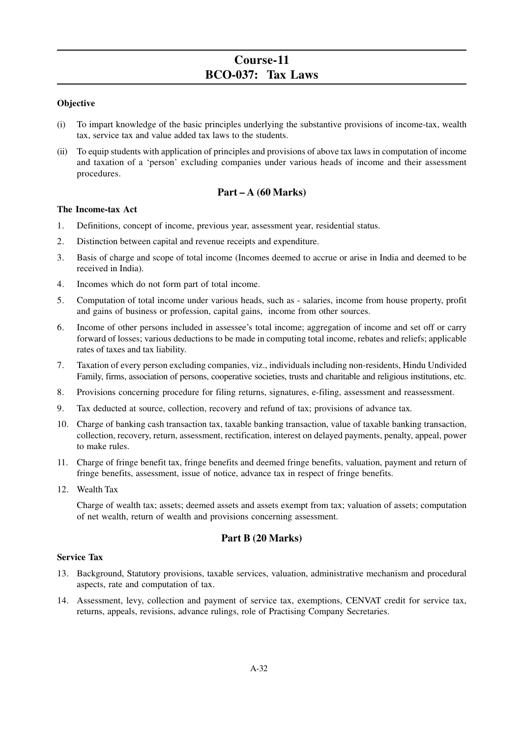# **Course-11 BCO-037: Tax Laws**

## **Objective**

- (i) To impart knowledge of the basic principles underlying the substantive provisions of income-tax, wealth tax, service tax and value added tax laws to the students.
- (ii) To equip students with application of principles and provisions of above tax laws in computation of income and taxation of a 'person' excluding companies under various heads of income and their assessment procedures.

# **Part – A (60 Marks)**

#### **The Income-tax Act**

- 1. Definitions, concept of income, previous year, assessment year, residential status.
- 2. Distinction between capital and revenue receipts and expenditure.
- 3. Basis of charge and scope of total income (Incomes deemed to accrue or arise in India and deemed to be received in India).
- 4. Incomes which do not form part of total income.
- 5. Computation of total income under various heads, such as salaries, income from house property, profit and gains of business or profession, capital gains, income from other sources.
- 6. Income of other persons included in assessee's total income; aggregation of income and set off or carry forward of losses; various deductions to be made in computing total income, rebates and reliefs; applicable rates of taxes and tax liability.
- 7. Taxation of every person excluding companies, viz., individuals including non-residents, Hindu Undivided Family, firms, association of persons, cooperative societies, trusts and charitable and religious institutions, etc.
- 8. Provisions concerning procedure for filing returns, signatures, e-filing, assessment and reassessment.
- 9. Tax deducted at source, collection, recovery and refund of tax; provisions of advance tax*.*
- 10. Charge of banking cash transaction tax, taxable banking transaction, value of taxable banking transaction, collection, recovery, return, assessment, rectification, interest on delayed payments, penalty, appeal, power to make rules.
- 11. Charge of fringe benefit tax, fringe benefits and deemed fringe benefits, valuation, payment and return of fringe benefits, assessment, issue of notice, advance tax in respect of fringe benefits.
- 12. Wealth Tax

Charge of wealth tax; assets; deemed assets and assets exempt from tax; valuation of assets; computation of net wealth, return of wealth and provisions concerning assessment.

# **Part B (20 Marks)**

#### **Service Tax**

- 13. Background, Statutory provisions, taxable services, valuation, administrative mechanism and procedural aspects, rate and computation of tax.
- 14. Assessment, levy, collection and payment of service tax, exemptions, CENVAT credit for service tax, returns, appeals, revisions, advance rulings, role of Practising Company Secretaries.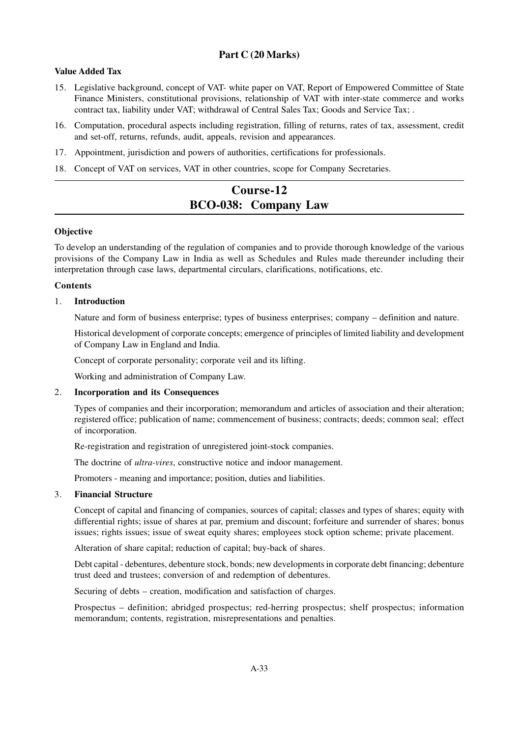# **Part C (20 Marks)**

# **Value Added Tax**

- 15. Legislative background, concept of VAT- white paper on VAT, Report of Empowered Committee of State Finance Ministers, constitutional provisions, relationship of VAT with inter-state commerce and works contract tax, liability under VAT; withdrawal of Central Sales Tax; Goods and Service Tax; .
- 16. Computation, procedural aspects including registration, filling of returns, rates of tax, assessment, credit and set-off, returns, refunds, audit, appeals, revision and appearances.
- 17. Appointment, jurisdiction and powers of authorities, certifications for professionals.
- 18. Concept of VAT on services, VAT in other countries, scope for Company Secretaries.

# **Course-12 BCO-038: Company Law**

#### **Objective**

To develop an understanding of the regulation of companies and to provide thorough knowledge of the various provisions of the Company Law in India as well as Schedules and Rules made thereunder including their interpretation through case laws, departmental circulars, clarifications, notifications, etc.

#### **Contents**

#### 1. **Introduction**

Nature and form of business enterprise; types of business enterprises; company – definition and nature.

Historical development of corporate concepts; emergence of principles of limited liability and development of Company Law in England and India.

Concept of corporate personality; corporate veil and its lifting.

Working and administration of Company Law.

#### 2. **Incorporation and its Consequences**

Types of companies and their incorporation; memorandum and articles of association and their alteration; registered office; publication of name; commencement of business; contracts; deeds; common seal; effect of incorporation.

Re-registration and registration of unregistered joint-stock companies.

The doctrine of *ultra-vires*, constructive notice and indoor management.

Promoters - meaning and importance; position, duties and liabilities.

### 3. **Financial Structure**

Concept of capital and financing of companies, sources of capital; classes and types of shares; equity with differential rights; issue of shares at par, premium and discount; forfeiture and surrender of shares; bonus issues; rights issues; issue of sweat equity shares; employees stock option scheme; private placement.

Alteration of share capital; reduction of capital; buy-back of shares.

Debt capital - debentures, debenture stock, bonds; new developments in corporate debt financing; debenture trust deed and trustees; conversion of and redemption of debentures.

Securing of debts – creation, modification and satisfaction of charges.

Prospectus – definition; abridged prospectus; red-herring prospectus; shelf prospectus; information memorandum; contents, registration, misrepresentations and penalties.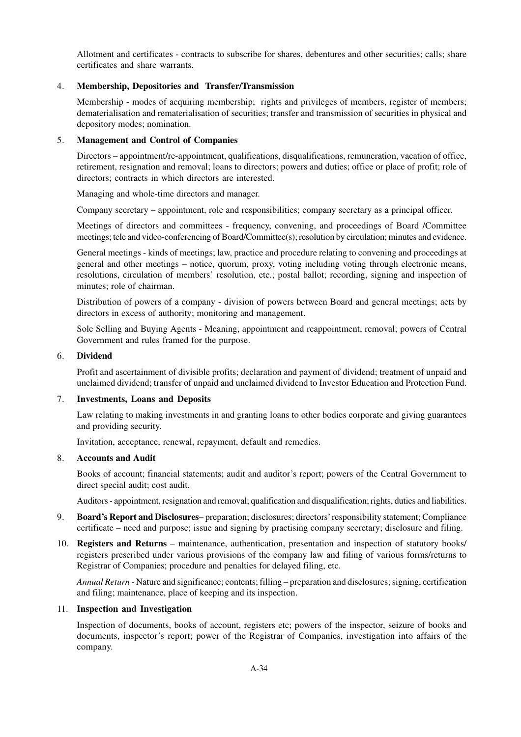Allotment and certificates - contracts to subscribe for shares, debentures and other securities; calls; share certificates and share warrants.

#### 4. **Membership, Depositories and Transfer/Transmission**

Membership - modes of acquiring membership; rights and privileges of members, register of members; dematerialisation and rematerialisation of securities; transfer and transmission of securities in physical and depository modes; nomination.

#### 5. **Management and Control of Companies**

Directors – appointment/re-appointment, qualifications, disqualifications, remuneration, vacation of office, retirement, resignation and removal; loans to directors; powers and duties; office or place of profit; role of directors; contracts in which directors are interested.

Managing and whole-time directors and manager.

Company secretary – appointment, role and responsibilities; company secretary as a principal officer.

Meetings of directors and committees - frequency, convening, and proceedings of Board /Committee meetings; tele and video-conferencing of Board/Committee(s); resolution by circulation; minutes and evidence.

General meetings - kinds of meetings; law, practice and procedure relating to convening and proceedings at general and other meetings – notice, quorum, proxy, voting including voting through electronic means, resolutions, circulation of members' resolution, etc.; postal ballot; recording, signing and inspection of minutes; role of chairman.

Distribution of powers of a company - division of powers between Board and general meetings; acts by directors in excess of authority; monitoring and management.

Sole Selling and Buying Agents - Meaning, appointment and reappointment, removal; powers of Central Government and rules framed for the purpose.

#### 6. **Dividend**

Profit and ascertainment of divisible profits; declaration and payment of dividend; treatment of unpaid and unclaimed dividend; transfer of unpaid and unclaimed dividend to Investor Education and Protection Fund.

#### 7. **Investments, Loans and Deposits**

Law relating to making investments in and granting loans to other bodies corporate and giving guarantees and providing security.

Invitation, acceptance, renewal, repayment, default and remedies.

#### 8. **Accounts and Audit**

Books of account; financial statements; audit and auditor's report; powers of the Central Government to direct special audit; cost audit.

Auditors - appointment, resignation and removal; qualification and disqualification; rights, duties and liabilities.

- 9. **Board's Report and Disclosures** preparation; disclosures; directors' responsibility statement; Compliance certificate – need and purpose; issue and signing by practising company secretary; disclosure and filing.
- 10. **Registers and Returns**  maintenance, authentication, presentation and inspection of statutory books/ registers prescribed under various provisions of the company law and filing of various forms/returns to Registrar of Companies; procedure and penalties for delayed filing, etc.

*Annual Return -* Nature and significance; contents; filling – preparation and disclosures; signing, certification and filing; maintenance, place of keeping and its inspection.

#### 11. **Inspection and Investigation**

Inspection of documents, books of account, registers etc; powers of the inspector, seizure of books and documents, inspector's report; power of the Registrar of Companies, investigation into affairs of the company.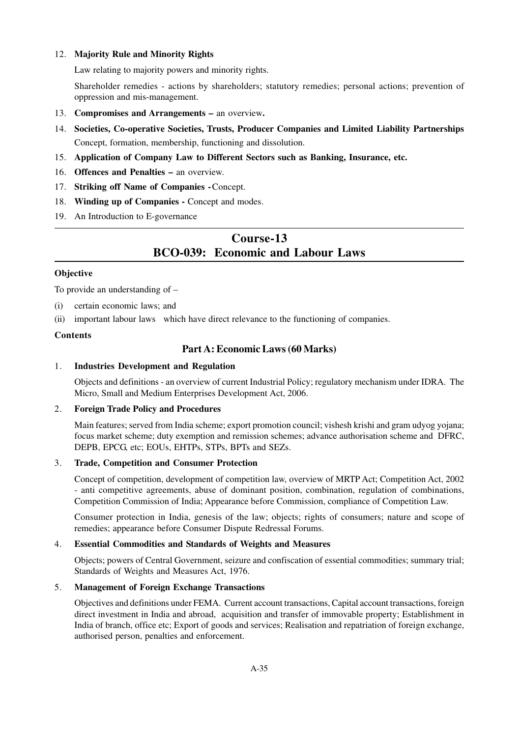#### 12. **Majority Rule and Minority Rights**

Law relating to majority powers and minority rights.

Shareholder remedies - actions by shareholders; statutory remedies; personal actions; prevention of oppression and mis-management.

- 13. **Compromises and Arrangements** an overview**.**
- 14. **Societies, Co-operative Societies, Trusts, Producer Companies and Limited Liability Partnerships** Concept, formation, membership, functioning and dissolution.
- 15. **Application of Company Law to Different Sectors such as Banking, Insurance, etc.**
- 16. **Offences and Penalties** an overview.
- 17. **Striking off Name of Companies -**Concept.
- 18. **Winding up of Companies** Concept and modes.
- 19. An Introduction to E-governance

# **Course-13 BCO-039: Economic and Labour Laws**

#### **Objective**

To provide an understanding of –

- (i) certain economic laws; and
- (ii) important labour laws which have direct relevance to the functioning of companies.

#### **Contents**

#### **Part A: Economic Laws (60 Marks)**

#### 1. **Industries Development and Regulation**

Objects and definitions - an overview of current Industrial Policy; regulatory mechanism under IDRA. The Micro, Small and Medium Enterprises Development Act, 2006.

#### 2. **Foreign Trade Policy and Procedures**

Main features; served from India scheme; export promotion council; vishesh krishi and gram udyog yojana; focus market scheme; duty exemption and remission schemes; advance authorisation scheme and DFRC, DEPB, EPCG, etc; EOUs, EHTPs, STPs, BPTs and SEZs.

# 3. **Trade, Competition and Consumer Protection**

Concept of competition, development of competition law, overview of MRTP Act; Competition Act, 2002 - anti competitive agreements, abuse of dominant position, combination, regulation of combinations, Competition Commission of India; Appearance before Commission, compliance of Competition Law.

Consumer protection in India, genesis of the law; objects; rights of consumers; nature and scope of remedies; appearance before Consumer Dispute Redressal Forums.

#### 4. **Essential Commodities and Standards of Weights and Measures**

Objects; powers of Central Government, seizure and confiscation of essential commodities; summary trial; Standards of Weights and Measures Act, 1976.

#### 5. **Management of Foreign Exchange Transactions**

Objectives and definitions under FEMA. Current account transactions, Capital account transactions, foreign direct investment in India and abroad, acquisition and transfer of immovable property; Establishment in India of branch, office etc; Export of goods and services; Realisation and repatriation of foreign exchange, authorised person, penalties and enforcement.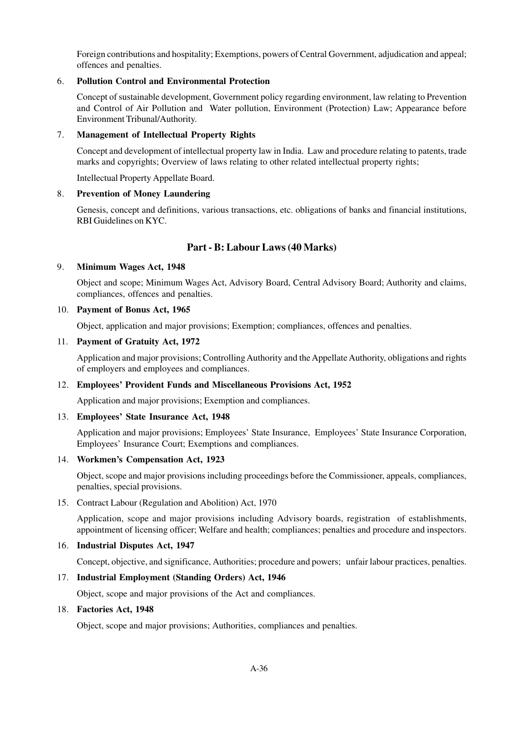Foreign contributions and hospitality; Exemptions, powers of Central Government, adjudication and appeal; offences and penalties.

## 6. **Pollution Control and Environmental Protection**

Concept of sustainable development, Government policy regarding environment, law relating to Prevention and Control of Air Pollution and Water pollution, Environment (Protection) Law; Appearance before Environment Tribunal/Authority.

#### 7. **Management of Intellectual Property Rights**

Concept and development of intellectual property law in India. Law and procedure relating to patents, trade marks and copyrights; Overview of laws relating to other related intellectual property rights;

Intellectual Property Appellate Board.

#### 8. **Prevention of Money Laundering**

Genesis, concept and definitions, various transactions, etc. obligations of banks and financial institutions, RBI Guidelines on KYC.

# **Part - B: Labour Laws (40 Marks)**

#### 9. **Minimum Wages Act, 1948**

Object and scope; Minimum Wages Act, Advisory Board, Central Advisory Board; Authority and claims, compliances, offences and penalties.

#### 10. **Payment of Bonus Act, 1965**

Object, application and major provisions; Exemption; compliances, offences and penalties.

#### 11. **Payment of Gratuity Act, 1972**

Application and major provisions; Controlling Authority and the Appellate Authority, obligations and rights of employers and employees and compliances.

#### 12. **Employees' Provident Funds and Miscellaneous Provisions Act, 1952**

Application and major provisions; Exemption and compliances.

# 13. **Employees' State Insurance Act, 1948**

Application and major provisions; Employees' State Insurance, Employees' State Insurance Corporation, Employees' Insurance Court; Exemptions and compliances.

#### 14. **Workmen's Compensation Act, 1923**

Object, scope and major provisions including proceedings before the Commissioner, appeals, compliances, penalties, special provisions.

#### 15. Contract Labour (Regulation and Abolition) Act, 1970

Application, scope and major provisions including Advisory boards, registration of establishments, appointment of licensing officer; Welfare and health; compliances; penalties and procedure and inspectors.

#### 16. **Industrial Disputes Act, 1947**

Concept, objective, and significance, Authorities; procedure and powers; unfair labour practices, penalties.

#### 17. **Industrial Employment (Standing Orders) Act, 1946**

Object, scope and major provisions of the Act and compliances.

#### 18. **Factories Act, 1948**

Object, scope and major provisions; Authorities, compliances and penalties.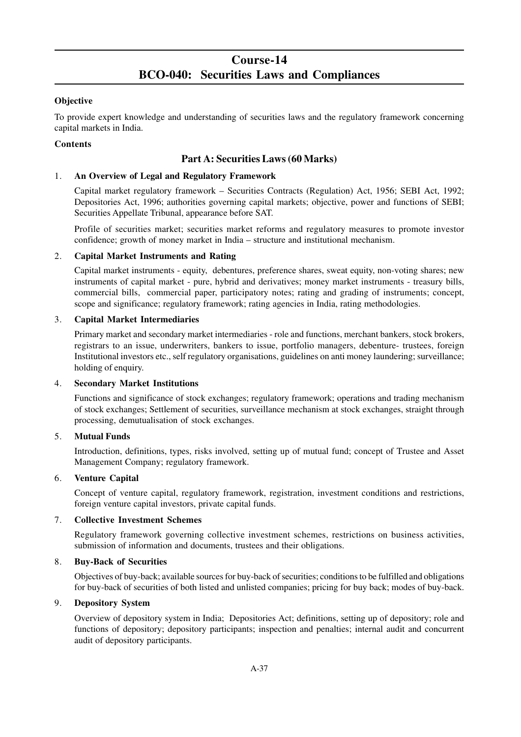# **Course-14 BCO-040: Securities Laws and Compliances**

# **Objective**

To provide expert knowledge and understanding of securities laws and the regulatory framework concerning capital markets in India.

# **Contents**

# **Part A: Securities Laws (60 Marks)**

## 1. **An Overview of Legal and Regulatory Framework**

Capital market regulatory framework – Securities Contracts (Regulation) Act, 1956; SEBI Act, 1992; Depositories Act, 1996; authorities governing capital markets; objective, power and functions of SEBI; Securities Appellate Tribunal, appearance before SAT.

Profile of securities market; securities market reforms and regulatory measures to promote investor confidence; growth of money market in India – structure and institutional mechanism.

#### 2. **Capital Market Instruments and Rating**

Capital market instruments - equity, debentures, preference shares, sweat equity, non-voting shares; new instruments of capital market - pure, hybrid and derivatives; money market instruments - treasury bills, commercial bills, commercial paper, participatory notes; rating and grading of instruments; concept, scope and significance; regulatory framework; rating agencies in India, rating methodologies.

#### 3. **Capital Market Intermediaries**

Primary market and secondary market intermediaries - role and functions, merchant bankers, stock brokers, registrars to an issue, underwriters, bankers to issue, portfolio managers, debenture- trustees, foreign Institutional investors etc., self regulatory organisations, guidelines on anti money laundering; surveillance; holding of enquiry.

# 4. **Secondary Market Institutions**

Functions and significance of stock exchanges; regulatory framework; operations and trading mechanism of stock exchanges; Settlement of securities, surveillance mechanism at stock exchanges, straight through processing, demutualisation of stock exchanges.

# 5. **Mutual Funds**

Introduction, definitions, types, risks involved, setting up of mutual fund; concept of Trustee and Asset Management Company; regulatory framework.

# 6. **Venture Capital**

Concept of venture capital, regulatory framework, registration, investment conditions and restrictions, foreign venture capital investors, private capital funds.

#### 7. **Collective Investment Schemes**

Regulatory framework governing collective investment schemes, restrictions on business activities, submission of information and documents, trustees and their obligations.

#### 8. **Buy-Back of Securities**

Objectives of buy-back; available sources for buy-back of securities; conditions to be fulfilled and obligations for buy-back of securities of both listed and unlisted companies; pricing for buy back; modes of buy-back.

#### 9. **Depository System**

Overview of depository system in India; Depositories Act; definitions, setting up of depository; role and functions of depository; depository participants; inspection and penalties; internal audit and concurrent audit of depository participants.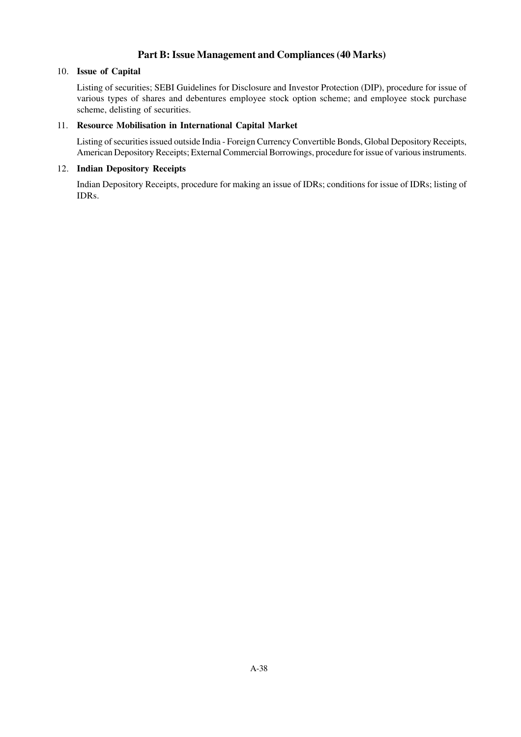# **Part B: Issue Management and Compliances (40 Marks)**

## 10. **Issue of Capital**

Listing of securities; SEBI Guidelines for Disclosure and Investor Protection (DIP), procedure for issue of various types of shares and debentures employee stock option scheme; and employee stock purchase scheme, delisting of securities.

# 11. **Resource Mobilisation in International Capital Market**

Listing of securities issued outside India - Foreign Currency Convertible Bonds, Global Depository Receipts, American Depository Receipts; External Commercial Borrowings, procedure for issue of various instruments.

# 12. **Indian Depository Receipts**

Indian Depository Receipts, procedure for making an issue of IDRs; conditions for issue of IDRs; listing of IDRs.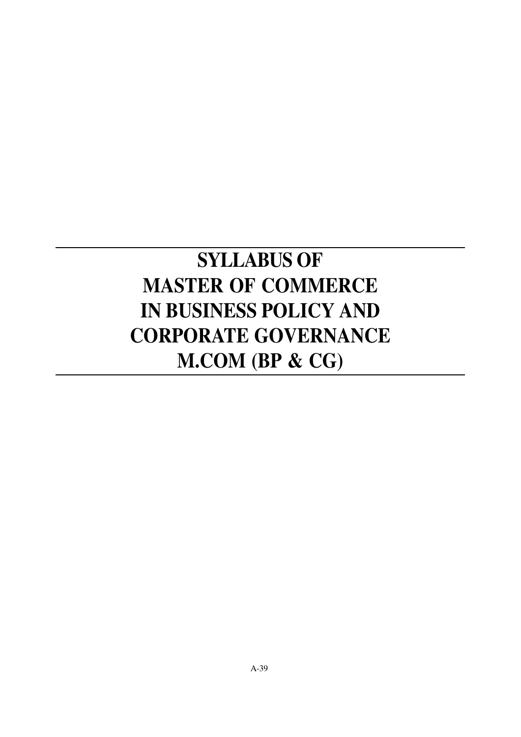# **SYLLABUS OF MASTER OF COMMERCE IN BUSINESS POLICY AND CORPORATE GOVERNANCE M.COM (BP & CG)**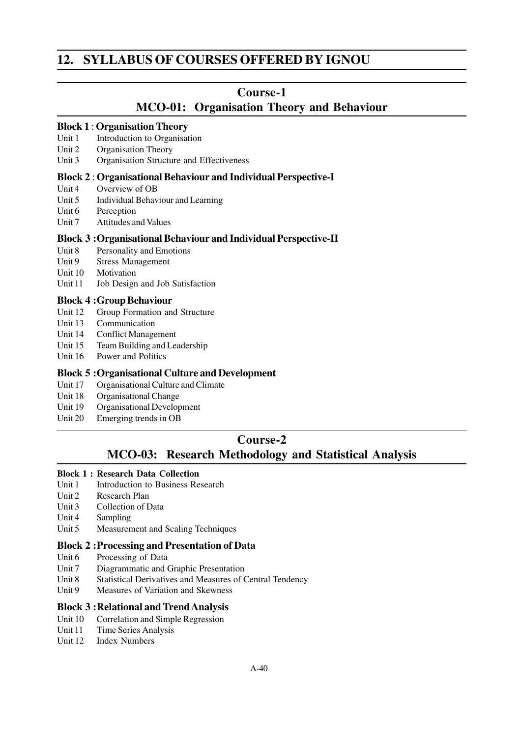# **12. SYLLABUS OF COURSES OFFERED BY IGNOU**

# **Course-1**

# **MCO-01: Organisation Theory and Behaviour**

#### **Block 1** : **Organisation Theory**

- Unit 1 Introduction to Organisation<br>Unit 2 Organisation Theory
- **Organisation Theory**
- Unit 3 Organisation Structure and Effectiveness

## **Block 2** : **Organisational Behaviour and Individual Perspective-I**

- Unit 4 Overview of OB
- Unit 5 Individual Behaviour and Learning
- Unit 6 Perception
- Unit 7 Attitudes and Values

# **Block 3 :Organisational Behaviour and Individual Perspective-II**

- Unit 8 Personality and Emotions
- Unit 9 Stress Management
- Unit 10 Motivation
- Unit 11 Job Design and Job Satisfaction

# **Block 4 :Group Behaviour**

- Unit 12 Group Formation and Structure
- Unit 13 Communication
- Unit 14 Conflict Management
- Unit 15 Team Building and Leadership
- Unit 16 Power and Politics

# **Block 5 :Organisational Culture and Development**

- Unit 17 Organisational Culture and Climate
- Unit 18 Organisational Change
- Unit 19 Organisational Development
- Unit 20 Emerging trends in OB

# **Course-2**

# **MCO-03: Research Methodology and Statistical Analysis**

# **Block 1 : Research Data Collection**

- Unit 1 Introduction to Business Research
- Unit 2 Research Plan
- Unit 3 Collection of Data
- Unit 4 Sampling
- Unit 5 Measurement and Scaling Techniques

# **Block 2 :Processing and Presentation of Data**

- Unit 6 Processing of Data
- Unit 7 Diagrammatic and Graphic Presentation
- Unit 8 Statistical Derivatives and Measures of Central Tendency
- Unit 9 Measures of Variation and Skewness

# **Block 3 :Relational and Trend Analysis**

- Unit 10 Correlation and Simple Regression
- Unit 11 Time Series Analysis
- Unit 12 Index Numbers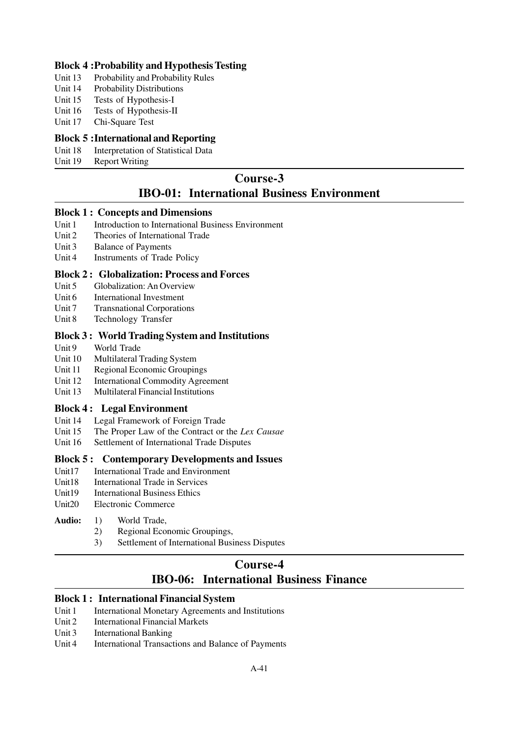# **Block 4 :Probability and Hypothesis Testing**

- Unit 13 Probability and Probability Rules
- Unit 14 Probability Distributions
- Unit 15 Tests of Hypothesis-I
- Unit 16 Tests of Hypothesis-II
- Unit 17 Chi-Square Test

# **Block 5 :International and Reporting**

- Unit 18 Interpretation of Statistical Data
- Unit 19 Report Writing

# **Course-3 IBO-01: International Business Environment**

#### **Block 1 : Concepts and Dimensions**

- Unit 1 Introduction to International Business Environment
- Unit 2 Theories of International Trade
- Unit 3 Balance of Payments
- Unit 4 Instruments of Trade Policy

# **Block 2 : Globalization: Process and Forces**

- Unit 5 Globalization: An Overview
- Unit 6 International Investment
- Unit 7 Transnational Corporations
- Unit 8 Technology Transfer

# **Block 3 : World Trading System and Institutions**

- Unit 9 World Trade
- Unit 10 Multilateral Trading System
- Unit 11 Regional Economic Groupings
- Unit 12 International Commodity Agreement
- Unit 13 Multilateral Financial Institutions

# **Block 4 : Legal Environment**

- Unit 14 Legal Framework of Foreign Trade
- Unit 15 The Proper Law of the Contract or the *Lex Causae*
- Unit 16 Settlement of International Trade Disputes

#### **Block 5 : Contemporary Developments and Issues**

- Unit17 International Trade and Environment
- Unit18 International Trade in Services
- Unit19 International Business Ethics
- Unit20 Electronic Commerce

# **Audio:** 1) World Trade,

- 2) Regional Economic Groupings,
- 3) Settlement of International Business Disputes

# **Course-4**

# **IBO-06: International Business Finance**

# **Block 1 : International Financial System**

- Unit 1 International Monetary Agreements and Institutions
- Unit 2 International Financial Markets
- Unit 3 International Banking
- Unit 4 International Transactions and Balance of Payments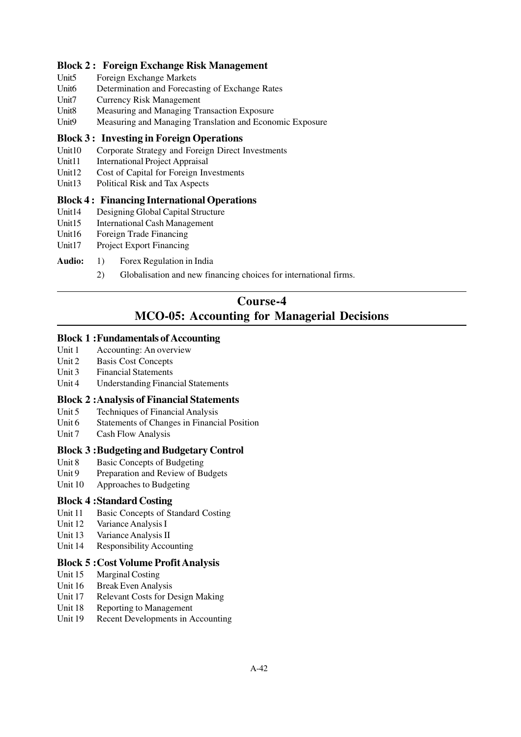# **Block 2 : Foreign Exchange Risk Management**

- Unit5 Foreign Exchange Markets
- Unit6 Determination and Forecasting of Exchange Rates
- Unit7 Currency Risk Management
- Unit8 Measuring and Managing Transaction Exposure
- Unit9 Measuring and Managing Translation and Economic Exposure

# **Block 3 : Investing in Foreign Operations**

- Unit10 Corporate Strategy and Foreign Direct Investments
- Unit11 International Project Appraisal
- Unit12 Cost of Capital for Foreign Investments
- Unit13 Political Risk and Tax Aspects

# **Block 4 : Financing International Operations**

- Unit14 Designing Global Capital Structure
- Unit15 International Cash Management
- Unit16 Foreign Trade Financing
- Unit17 Project Export Financing
- **Audio:** 1) Forex Regulation in India
	- 2) Globalisation and new financing choices for international firms.

# **Course-4 MCO-05: Accounting for Managerial Decisions**

# **Block 1 :Fundamentals of Accounting**

- Unit 1 Accounting: An overview
- Unit 2 Basis Cost Concepts
- Unit 3 Financial Statements
- Unit 4 Understanding Financial Statements

# **Block 2 :Analysis of Financial Statements**

- Unit 5 Techniques of Financial Analysis
- Unit 6 Statements of Changes in Financial Position
- Unit 7 Cash Flow Analysis

# **Block 3 :Budgeting and Budgetary Control**

- Unit 8 Basic Concepts of Budgeting
- Unit 9 Preparation and Review of Budgets
- Unit 10 Approaches to Budgeting

# **Block 4 :Standard Costing**

- Unit 11 Basic Concepts of Standard Costing
- Unit 12 Variance Analysis I
- Unit 13 Variance Analysis II
- Unit 14 Responsibility Accounting

# **Block 5 :Cost Volume Profit Analysis**

- Unit 15 Marginal Costing
- Unit 16 Break Even Analysis
- Unit 17 Relevant Costs for Design Making
- Unit 18 Reporting to Management
- Unit 19 Recent Developments in Accounting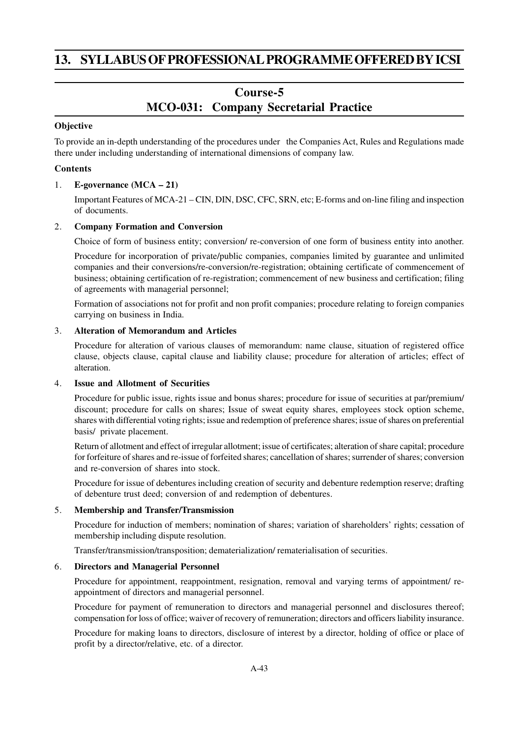# **13. SYLLABUS OF PROFESSIONAL PROGRAMME OFFERED BY ICSI**

# **Course-5**

# **MCO-031: Company Secretarial Practice**

## **Objective**

To provide an in-depth understanding of the procedures under the Companies Act, Rules and Regulations made there under including understanding of international dimensions of company law.

## **Contents**

#### 1. **E-governance (MCA – 21)**

Important Features of MCA-21 – CIN, DIN, DSC, CFC, SRN, etc; E-forms and on-line filing and inspection of documents.

## 2. **Company Formation and Conversion**

Choice of form of business entity; conversion/ re-conversion of one form of business entity into another.

Procedure for incorporation of private/public companies, companies limited by guarantee and unlimited companies and their conversions/re-conversion/re-registration; obtaining certificate of commencement of business; obtaining certification of re-registration; commencement of new business and certification; filing of agreements with managerial personnel;

Formation of associations not for profit and non profit companies; procedure relating to foreign companies carrying on business in India.

#### 3. **Alteration of Memorandum and Articles**

Procedure for alteration of various clauses of memorandum: name clause, situation of registered office clause, objects clause, capital clause and liability clause; procedure for alteration of articles; effect of alteration.

# 4. **Issue and Allotment of Securities**

Procedure for public issue, rights issue and bonus shares; procedure for issue of securities at par/premium/ discount; procedure for calls on shares; Issue of sweat equity shares, employees stock option scheme, shares with differential voting rights; issue and redemption of preference shares; issue of shares on preferential basis/ private placement.

Return of allotment and effect of irregular allotment; issue of certificates; alteration of share capital; procedure for forfeiture of shares and re-issue of forfeited shares; cancellation of shares; surrender of shares; conversion and re-conversion of shares into stock.

Procedure for issue of debentures including creation of security and debenture redemption reserve; drafting of debenture trust deed; conversion of and redemption of debentures.

#### 5. **Membership and Transfer/Transmission**

Procedure for induction of members; nomination of shares; variation of shareholders' rights; cessation of membership including dispute resolution.

Transfer/transmission/transposition; dematerialization/ rematerialisation of securities.

# 6. **Directors and Managerial Personnel**

Procedure for appointment, reappointment, resignation, removal and varying terms of appointment/ reappointment of directors and managerial personnel.

Procedure for payment of remuneration to directors and managerial personnel and disclosures thereof; compensation for loss of office; waiver of recovery of remuneration; directors and officers liability insurance.

Procedure for making loans to directors, disclosure of interest by a director, holding of office or place of profit by a director/relative, etc. of a director.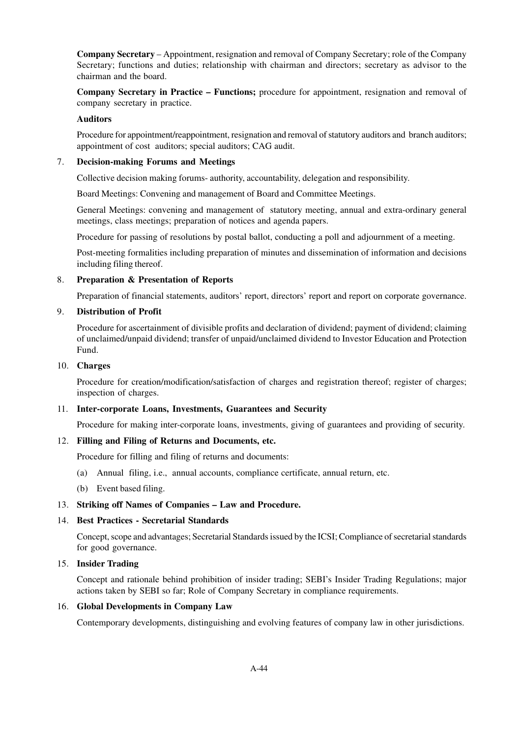**Company Secretary** – Appointment, resignation and removal of Company Secretary; role of the Company Secretary; functions and duties; relationship with chairman and directors; secretary as advisor to the chairman and the board.

**Company Secretary in Practice – Functions;** procedure for appointment, resignation and removal of company secretary in practice.

#### **Auditors**

Procedure for appointment/reappointment, resignation and removal of statutory auditors and branch auditors; appointment of cost auditors; special auditors; CAG audit.

#### 7. **Decision-making Forums and Meetings**

Collective decision making forums- authority, accountability, delegation and responsibility.

Board Meetings: Convening and management of Board and Committee Meetings.

General Meetings: convening and management of statutory meeting, annual and extra-ordinary general meetings, class meetings; preparation of notices and agenda papers.

Procedure for passing of resolutions by postal ballot, conducting a poll and adjournment of a meeting.

Post-meeting formalities including preparation of minutes and dissemination of information and decisions including filing thereof.

#### 8. **Preparation & Presentation of Reports**

Preparation of financial statements, auditors' report, directors' report and report on corporate governance.

#### 9. **Distribution of Profit**

Procedure for ascertainment of divisible profits and declaration of dividend; payment of dividend; claiming of unclaimed/unpaid dividend; transfer of unpaid/unclaimed dividend to Investor Education and Protection Fund.

#### 10. **Charges**

Procedure for creation/modification/satisfaction of charges and registration thereof; register of charges; inspection of charges.

#### 11. **Inter-corporate Loans, Investments, Guarantees and Security**

Procedure for making inter-corporate loans, investments, giving of guarantees and providing of security.

#### 12. **Filling and Filing of Returns and Documents, etc.**

Procedure for filling and filing of returns and documents:

- (a) Annual filing, i.e., annual accounts, compliance certificate, annual return, etc.
- (b) Event based filing.

#### 13. **Striking off Names of Companies – Law and Procedure.**

#### 14. **Best Practices - Secretarial Standards**

Concept, scope and advantages; Secretarial Standards issued by the ICSI; Compliance of secretarial standards for good governance.

#### 15. **Insider Trading**

Concept and rationale behind prohibition of insider trading; SEBI's Insider Trading Regulations; major actions taken by SEBI so far; Role of Company Secretary in compliance requirements.

#### 16. **Global Developments in Company Law**

Contemporary developments, distinguishing and evolving features of company law in other jurisdictions.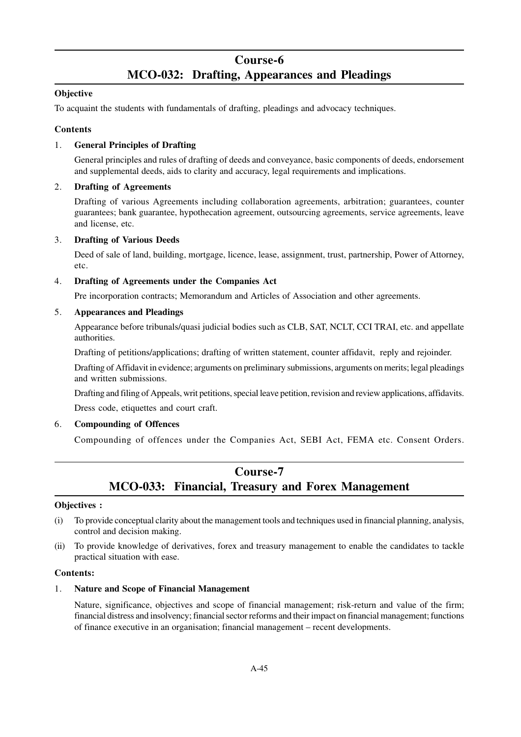# **Course-6 MCO-032: Drafting, Appearances and Pleadings**

# **Objective**

To acquaint the students with fundamentals of drafting, pleadings and advocacy techniques.

# **Contents**

# 1. **General Principles of Drafting**

General principles and rules of drafting of deeds and conveyance, basic components of deeds, endorsement and supplemental deeds, aids to clarity and accuracy, legal requirements and implications.

# 2. **Drafting of Agreements**

Drafting of various Agreements including collaboration agreements, arbitration; guarantees, counter guarantees; bank guarantee, hypothecation agreement, outsourcing agreements, service agreements, leave and license, etc.

# 3. **Drafting of Various Deeds**

Deed of sale of land, building, mortgage, licence, lease, assignment, trust, partnership, Power of Attorney, etc.

# 4. **Drafting of Agreements under the Companies Act**

Pre incorporation contracts; Memorandum and Articles of Association and other agreements.

# 5. **Appearances and Pleadings**

Appearance before tribunals/quasi judicial bodies such as CLB, SAT, NCLT, CCI TRAI, etc. and appellate authorities.

Drafting of petitions/applications; drafting of written statement, counter affidavit, reply and rejoinder.

Drafting of Affidavit in evidence; arguments on preliminary submissions, arguments on merits; legal pleadings and written submissions.

Drafting and filing of Appeals, writ petitions, special leave petition, revision and review applications, affidavits. Dress code, etiquettes and court craft.

# 6. **Compounding of Offences**

Compounding of offences under the Companies Act, SEBI Act, FEMA etc. Consent Orders.

# **Course-7 MCO-033: Financial, Treasury and Forex Management**

# **Objectives :**

- (i) To provide conceptual clarity about the management tools and techniques used in financial planning, analysis, control and decision making.
- (ii) To provide knowledge of derivatives, forex and treasury management to enable the candidates to tackle practical situation with ease.

# **Contents:**

# 1. **Nature and Scope of Financial Management**

Nature, significance, objectives and scope of financial management; risk-return and value of the firm; financial distress and insolvency; financial sector reforms and their impact on financial management; functions of finance executive in an organisation; financial management – recent developments.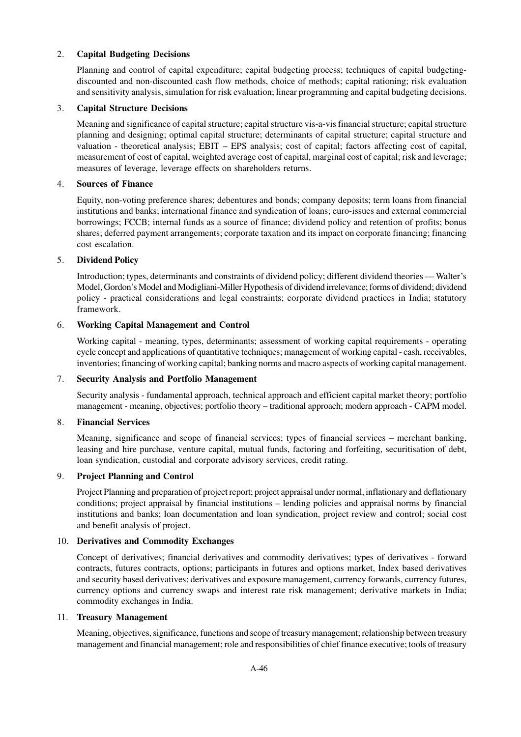## 2. **Capital Budgeting Decisions**

Planning and control of capital expenditure; capital budgeting process; techniques of capital budgetingdiscounted and non-discounted cash flow methods, choice of methods; capital rationing; risk evaluation and sensitivity analysis, simulation for risk evaluation; linear programming and capital budgeting decisions.

#### 3. **Capital Structure Decisions**

Meaning and significance of capital structure; capital structure vis-a-vis financial structure; capital structure planning and designing; optimal capital structure; determinants of capital structure; capital structure and valuation - theoretical analysis; EBIT – EPS analysis; cost of capital; factors affecting cost of capital, measurement of cost of capital, weighted average cost of capital, marginal cost of capital; risk and leverage; measures of leverage, leverage effects on shareholders returns.

#### 4. **Sources of Finance**

Equity, non-voting preference shares; debentures and bonds; company deposits; term loans from financial institutions and banks; international finance and syndication of loans; euro-issues and external commercial borrowings; FCCB; internal funds as a source of finance; dividend policy and retention of profits; bonus shares; deferred payment arrangements; corporate taxation and its impact on corporate financing; financing cost escalation.

#### 5. **Dividend Policy**

Introduction; types, determinants and constraints of dividend policy; different dividend theories — Walter's Model, Gordon's Model and Modigliani-Miller Hypothesis of dividend irrelevance; forms of dividend; dividend policy - practical considerations and legal constraints; corporate dividend practices in India; statutory framework.

#### 6. **Working Capital Management and Control**

Working capital - meaning, types, determinants; assessment of working capital requirements - operating cycle concept and applications of quantitative techniques; management of working capital - cash, receivables, inventories; financing of working capital; banking norms and macro aspects of working capital management.

#### 7. **Security Analysis and Portfolio Management**

Security analysis - fundamental approach, technical approach and efficient capital market theory; portfolio management - meaning, objectives; portfolio theory – traditional approach; modern approach - CAPM model.

#### 8. **Financial Services**

Meaning, significance and scope of financial services; types of financial services – merchant banking, leasing and hire purchase, venture capital, mutual funds, factoring and forfeiting, securitisation of debt, loan syndication, custodial and corporate advisory services, credit rating.

## 9. **Project Planning and Control**

Project Planning and preparation of project report; project appraisal under normal, inflationary and deflationary conditions; project appraisal by financial institutions – lending policies and appraisal norms by financial institutions and banks; loan documentation and loan syndication, project review and control; social cost and benefit analysis of project.

# 10. **Derivatives and Commodity Exchanges**

Concept of derivatives; financial derivatives and commodity derivatives; types of derivatives - forward contracts, futures contracts, options; participants in futures and options market, Index based derivatives and security based derivatives; derivatives and exposure management, currency forwards, currency futures, currency options and currency swaps and interest rate risk management; derivative markets in India; commodity exchanges in India.

## 11. **Treasury Management**

Meaning, objectives, significance, functions and scope of treasury management; relationship between treasury management and financial management; role and responsibilities of chief finance executive; tools of treasury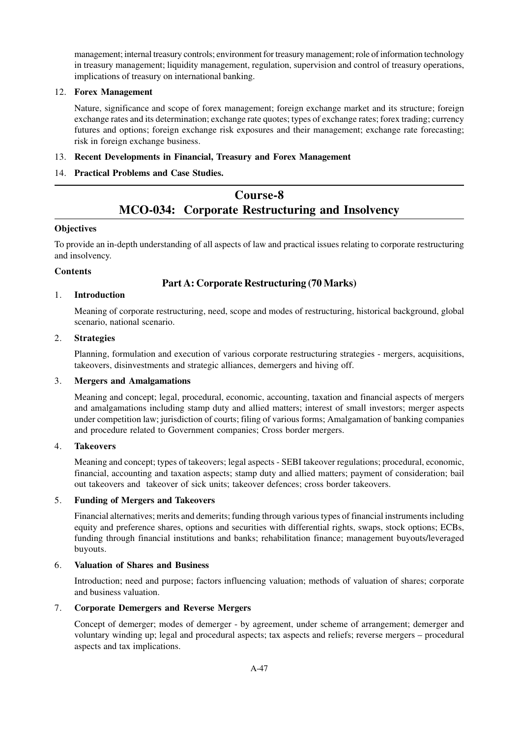management; internal treasury controls; environment for treasury management; role of information technology in treasury management; liquidity management, regulation, supervision and control of treasury operations, implications of treasury on international banking.

# 12. **Forex Management**

Nature, significance and scope of forex management; foreign exchange market and its structure; foreign exchange rates and its determination; exchange rate quotes; types of exchange rates; forex trading; currency futures and options; foreign exchange risk exposures and their management; exchange rate forecasting; risk in foreign exchange business.

# 13. **Recent Developments in Financial, Treasury and Forex Management**

# 14. **Practical Problems and Case Studies.**

# **Course-8 MCO-034: Corporate Restructuring and Insolvency**

# **Objectives**

To provide an in-depth understanding of all aspects of law and practical issues relating to corporate restructuring and insolvency.

# **Contents**

# **Part A: Corporate Restructuring (70 Marks)**

# 1. **Introduction**

Meaning of corporate restructuring, need, scope and modes of restructuring, historical background, global scenario, national scenario.

#### 2. **Strategies**

Planning, formulation and execution of various corporate restructuring strategies - mergers, acquisitions, takeovers, disinvestments and strategic alliances, demergers and hiving off.

# 3. **Mergers and Amalgamations**

Meaning and concept; legal, procedural, economic, accounting, taxation and financial aspects of mergers and amalgamations including stamp duty and allied matters; interest of small investors; merger aspects under competition law; jurisdiction of courts; filing of various forms; Amalgamation of banking companies and procedure related to Government companies; Cross border mergers.

# 4. **Takeovers**

Meaning and concept; types of takeovers; legal aspects - SEBI takeover regulations; procedural, economic, financial, accounting and taxation aspects; stamp duty and allied matters; payment of consideration; bail out takeovers and takeover of sick units; takeover defences; cross border takeovers.

# 5. **Funding of Mergers and Takeovers**

Financial alternatives; merits and demerits; funding through various types of financial instruments including equity and preference shares, options and securities with differential rights, swaps, stock options; ECBs, funding through financial institutions and banks; rehabilitation finance; management buyouts/leveraged buyouts.

# 6. **Valuation of Shares and Business**

Introduction; need and purpose; factors influencing valuation; methods of valuation of shares; corporate and business valuation.

# 7. **Corporate Demergers and Reverse Mergers**

Concept of demerger; modes of demerger - by agreement, under scheme of arrangement; demerger and voluntary winding up; legal and procedural aspects; tax aspects and reliefs; reverse mergers – procedural aspects and tax implications.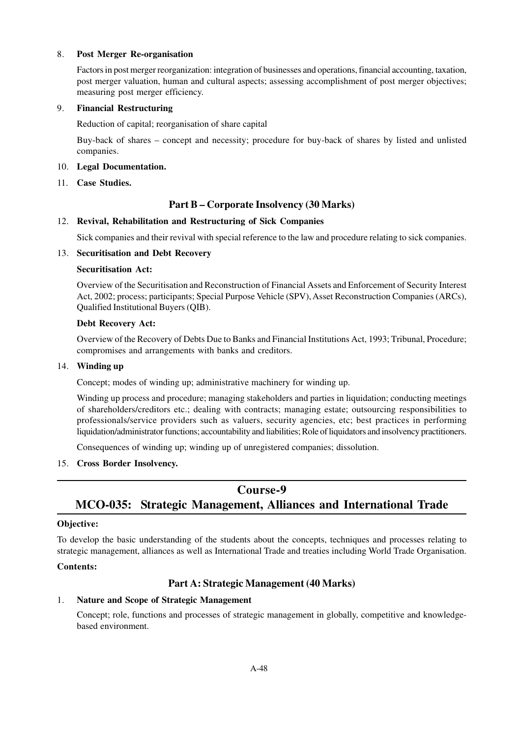#### 8. **Post Merger Re-organisation**

Factors in post merger reorganization: integration of businesses and operations, financial accounting, taxation, post merger valuation, human and cultural aspects; assessing accomplishment of post merger objectives; measuring post merger efficiency.

#### 9. **Financial Restructuring**

Reduction of capital; reorganisation of share capital

Buy-back of shares – concept and necessity; procedure for buy-back of shares by listed and unlisted companies.

#### 10. **Legal Documentation.**

11. **Case Studies.**

# **Part B – Corporate Insolvency (30 Marks)**

#### 12. **Revival, Rehabilitation and Restructuring of Sick Companies**

Sick companies and their revival with special reference to the law and procedure relating to sick companies.

#### 13. **Securitisation and Debt Recovery**

#### **Securitisation Act:**

Overview of the Securitisation and Reconstruction of Financial Assets and Enforcement of Security Interest Act, 2002; process; participants; Special Purpose Vehicle (SPV), Asset Reconstruction Companies (ARCs), Qualified Institutional Buyers (QIB).

#### **Debt Recovery Act:**

Overview of the Recovery of Debts Due to Banks and Financial Institutions Act, 1993; Tribunal, Procedure; compromises and arrangements with banks and creditors.

#### 14. **Winding up**

Concept; modes of winding up; administrative machinery for winding up.

Winding up process and procedure; managing stakeholders and parties in liquidation; conducting meetings of shareholders/creditors etc.; dealing with contracts; managing estate; outsourcing responsibilities to professionals/service providers such as valuers, security agencies, etc; best practices in performing liquidation/administrator functions; accountability and liabilities; Role of liquidators and insolvency practitioners.

Consequences of winding up; winding up of unregistered companies; dissolution.

# 15. **Cross Border Insolvency.**

# **Course-9 MCO-035: Strategic Management, Alliances and International Trade**

# **Objective:**

To develop the basic understanding of the students about the concepts, techniques and processes relating to strategic management, alliances as well as International Trade and treaties including World Trade Organisation.

#### **Contents:**

# **Part A: Strategic Management (40 Marks)**

# 1. **Nature and Scope of Strategic Management**

Concept; role, functions and processes of strategic management in globally, competitive and knowledgebased environment.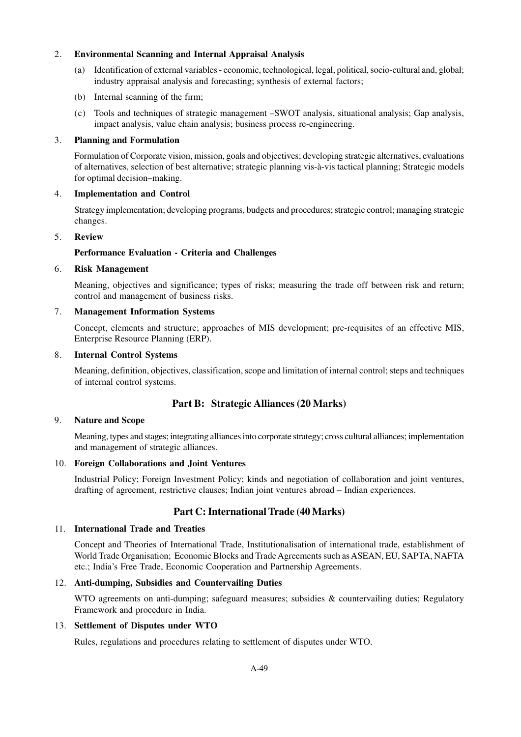## 2. **Environmental Scanning and Internal Appraisal Analysis**

- (a) Identification of external variables economic, technological, legal, political, socio-cultural and, global; industry appraisal analysis and forecasting; synthesis of external factors;
- (b) Internal scanning of the firm;
- (c) Tools and techniques of strategic management –SWOT analysis, situational analysis; Gap analysis, impact analysis, value chain analysis; business process re-engineering.

#### 3. **Planning and Formulation**

Formulation of Corporate vision, mission, goals and objectives; developing strategic alternatives, evaluations of alternatives, selection of best alternative; strategic planning vis-à-vis tactical planning; Strategic models for optimal decision–making.

#### 4. **Implementation and Control**

Strategy implementation; developing programs, budgets and procedures; strategic control; managing strategic changes.

#### 5. **Review**

# **Performance Evaluation - Criteria and Challenges**

#### 6. **Risk Management**

Meaning, objectives and significance; types of risks; measuring the trade off between risk and return; control and management of business risks.

#### 7. **Management Information Systems**

Concept, elements and structure; approaches of MIS development; pre-requisites of an effective MIS, Enterprise Resource Planning (ERP).

#### 8. **Internal Control Systems**

Meaning, definition, objectives, classification, scope and limitation of internal control; steps and techniques of internal control systems.

# **Part B: Strategic Alliances (20 Marks)**

#### 9. **Nature and Scope**

Meaning, types and stages; integrating alliances into corporate strategy; cross cultural alliances; implementation and management of strategic alliances.

#### 10. **Foreign Collaborations and Joint Ventures**

Industrial Policy; Foreign Investment Policy; kinds and negotiation of collaboration and joint ventures, drafting of agreement, restrictive clauses; Indian joint ventures abroad – Indian experiences.

# **Part C: International Trade (40 Marks)**

#### 11. **International Trade and Treaties**

Concept and Theories of International Trade, Institutionalisation of international trade, establishment of World Trade Organisation; Economic Blocks and Trade Agreements such as ASEAN, EU, SAPTA, NAFTA etc.; India's Free Trade, Economic Cooperation and Partnership Agreements.

# 12. **Anti-dumping, Subsidies and Countervailing Duties**

WTO agreements on anti-dumping; safeguard measures; subsidies & countervailing duties; Regulatory Framework and procedure in India.

#### 13. **Settlement of Disputes under WTO**

Rules, regulations and procedures relating to settlement of disputes under WTO.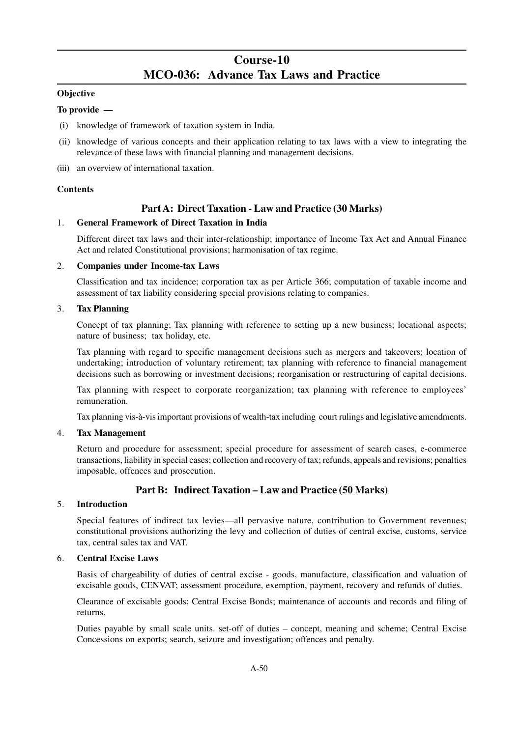# **Course-10 MCO-036: Advance Tax Laws and Practice**

# **Objective**

## **To provide —**

- (i) knowledge of framework of taxation system in India.
- (ii) knowledge of various concepts and their application relating to tax laws with a view to integrating the relevance of these laws with financial planning and management decisions.
- (iii) an overview of international taxation.

#### **Contents**

# **Part A: Direct Taxation - Law and Practice (30 Marks)**

#### 1. **General Framework of Direct Taxation in India**

Different direct tax laws and their inter-relationship; importance of Income Tax Act and Annual Finance Act and related Constitutional provisions; harmonisation of tax regime.

#### 2. **Companies under Income-tax Laws**

Classification and tax incidence; corporation tax as per Article 366; computation of taxable income and assessment of tax liability considering special provisions relating to companies.

#### 3. **Tax Planning**

Concept of tax planning; Tax planning with reference to setting up a new business; locational aspects; nature of business; tax holiday, etc.

Tax planning with regard to specific management decisions such as mergers and takeovers; location of undertaking; introduction of voluntary retirement; tax planning with reference to financial management decisions such as borrowing or investment decisions; reorganisation or restructuring of capital decisions.

Tax planning with respect to corporate reorganization; tax planning with reference to employees' remuneration.

Tax planning vis-à-vis important provisions of wealth-tax including court rulings and legislative amendments.

# 4. **Tax Management**

Return and procedure for assessment; special procedure for assessment of search cases, e-commerce transactions, liability in special cases; collection and recovery of tax; refunds, appeals and revisions; penalties imposable, offences and prosecution.

# **Part B: Indirect Taxation – Law and Practice (50 Marks)**

#### 5. **Introduction**

Special features of indirect tax levies—all pervasive nature, contribution to Government revenues; constitutional provisions authorizing the levy and collection of duties of central excise, customs, service tax, central sales tax and VAT.

# 6. **Central Excise Laws**

Basis of chargeability of duties of central excise - goods, manufacture, classification and valuation of excisable goods, CENVAT; assessment procedure, exemption, payment, recovery and refunds of duties.

Clearance of excisable goods; Central Excise Bonds; maintenance of accounts and records and filing of returns.

Duties payable by small scale units. set-off of duties – concept, meaning and scheme; Central Excise Concessions on exports; search, seizure and investigation; offences and penalty.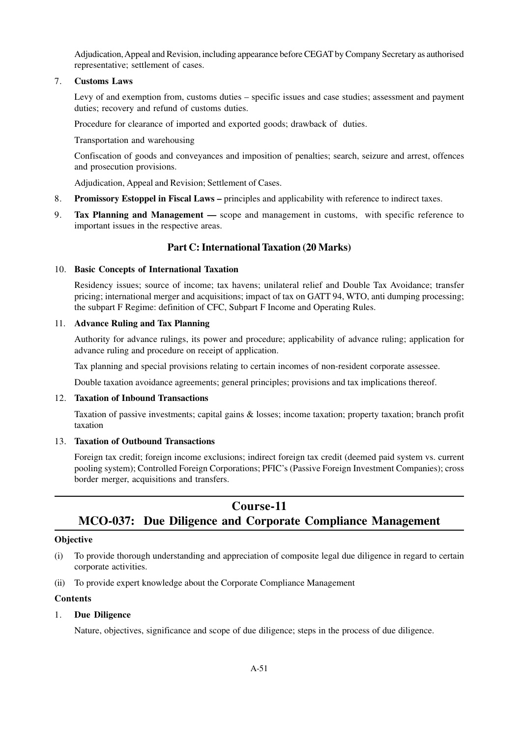Adjudication, Appeal and Revision, including appearance before CEGAT by Company Secretary as authorised representative; settlement of cases.

#### 7. **Customs Laws**

Levy of and exemption from, customs duties – specific issues and case studies; assessment and payment duties; recovery and refund of customs duties.

Procedure for clearance of imported and exported goods; drawback of duties.

Transportation and warehousing

Confiscation of goods and conveyances and imposition of penalties; search, seizure and arrest, offences and prosecution provisions.

Adjudication, Appeal and Revision; Settlement of Cases.

- 8. **Promissory Estoppel in Fiscal Laws –** principles and applicability with reference to indirect taxes.
- 9. **Tax Planning and Management** scope and management in customs, with specific reference to important issues in the respective areas.

# **Part C: International Taxation (20 Marks)**

#### 10. **Basic Concepts of International Taxation**

Residency issues; source of income; tax havens; unilateral relief and Double Tax Avoidance; transfer pricing; international merger and acquisitions; impact of tax on GATT 94, WTO, anti dumping processing; the subpart F Regime: definition of CFC, Subpart F Income and Operating Rules.

#### 11. **Advance Ruling and Tax Planning**

Authority for advance rulings, its power and procedure; applicability of advance ruling; application for advance ruling and procedure on receipt of application.

Tax planning and special provisions relating to certain incomes of non-resident corporate assessee.

Double taxation avoidance agreements; general principles; provisions and tax implications thereof.

#### 12. **Taxation of Inbound Transactions**

Taxation of passive investments; capital gains & losses; income taxation; property taxation; branch profit taxation

#### 13. **Taxation of Outbound Transactions**

Foreign tax credit; foreign income exclusions; indirect foreign tax credit (deemed paid system vs. current pooling system); Controlled Foreign Corporations; PFIC's (Passive Foreign Investment Companies); cross border merger, acquisitions and transfers.

# **Course-11 MCO-037: Due Diligence and Corporate Compliance Management**

#### **Objective**

- (i) To provide thorough understanding and appreciation of composite legal due diligence in regard to certain corporate activities.
- (ii) To provide expert knowledge about the Corporate Compliance Management

#### **Contents**

# 1. **Due Diligence**

Nature, objectives, significance and scope of due diligence; steps in the process of due diligence.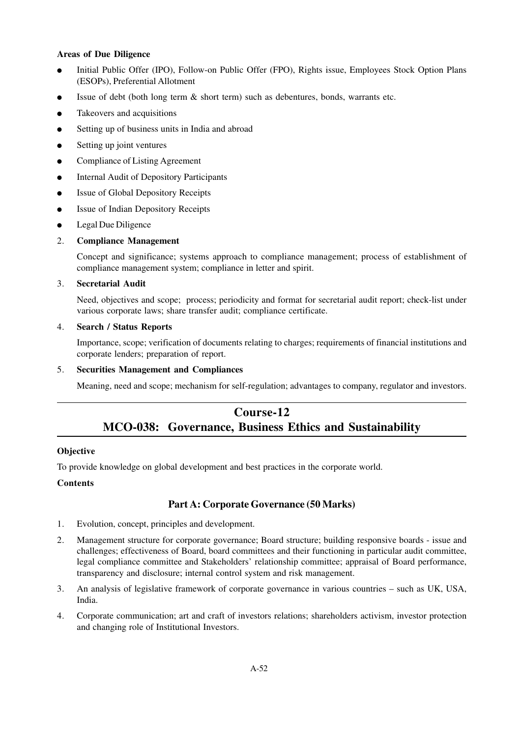### **Areas of Due Diligence**

- Initial Public Offer (IPO), Follow-on Public Offer (FPO), Rights issue, Employees Stock Option Plans (ESOPs), Preferential Allotment
- Issue of debt (both long term  $\&$  short term) such as debentures, bonds, warrants etc.
- Takeovers and acquisitions
- Setting up of business units in India and abroad
- Setting up joint ventures
- Compliance of Listing Agreement
- **Internal Audit of Depository Participants**
- Issue of Global Depository Receipts
- **Issue of Indian Depository Receipts**
- Legal Due Diligence

# 2. **Compliance Management**

Concept and significance; systems approach to compliance management; process of establishment of compliance management system; compliance in letter and spirit.

#### 3. **Secretarial Audit**

Need, objectives and scope; process; periodicity and format for secretarial audit report; check-list under various corporate laws; share transfer audit; compliance certificate.

#### 4. **Search / Status Reports**

Importance, scope; verification of documents relating to charges; requirements of financial institutions and corporate lenders; preparation of report.

## 5. **Securities Management and Compliances**

Meaning, need and scope; mechanism for self-regulation; advantages to company, regulator and investors.

# **Course-12 MCO-038: Governance, Business Ethics and Sustainability**

# **Objective**

To provide knowledge on global development and best practices in the corporate world.

# **Contents**

# **Part A: Corporate Governance (50 Marks)**

- 1. Evolution, concept, principles and development.
- 2. Management structure for corporate governance; Board structure; building responsive boards issue and challenges; effectiveness of Board, board committees and their functioning in particular audit committee, legal compliance committee and Stakeholders' relationship committee; appraisal of Board performance, transparency and disclosure; internal control system and risk management.
- 3. An analysis of legislative framework of corporate governance in various countries such as UK, USA, India.
- 4. Corporate communication; art and craft of investors relations; shareholders activism, investor protection and changing role of Institutional Investors.